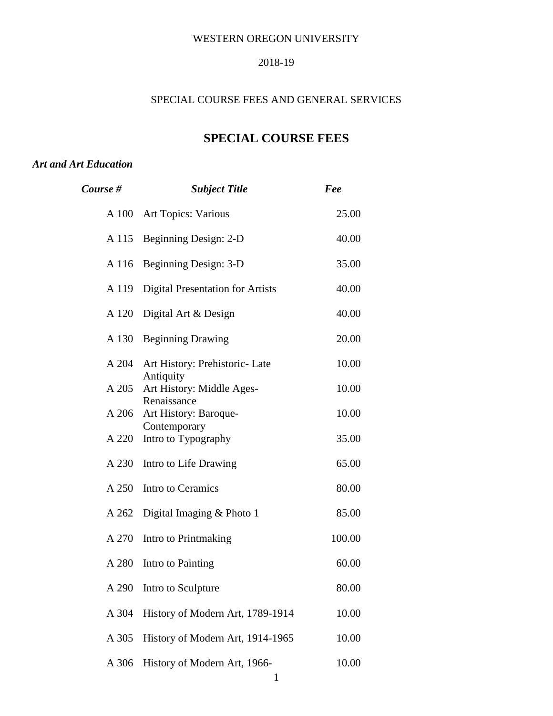#### WESTERN OREGON UNIVERSITY

#### 2018-19

## SPECIAL COURSE FEES AND GENERAL SERVICES

# **SPECIAL COURSE FEES**

#### *Art and Art Education*

| Course # | <b>Subject Title</b>                    | Fee    |
|----------|-----------------------------------------|--------|
|          | A 100 Art Topics: Various               | 25.00  |
| A 115    | Beginning Design: 2-D                   | 40.00  |
| A 116    | Beginning Design: 3-D                   | 35.00  |
| A 119    | <b>Digital Presentation for Artists</b> | 40.00  |
| A 120    | Digital Art & Design                    | 40.00  |
| A 130    | <b>Beginning Drawing</b>                | 20.00  |
| A 204    | Art History: Prehistoric- Late          | 10.00  |
| A 205    | Antiquity<br>Art History: Middle Ages-  | 10.00  |
| A 206    | Renaissance<br>Art History: Baroque-    | 10.00  |
| A 220    | Contemporary<br>Intro to Typography     | 35.00  |
| A 230    | Intro to Life Drawing                   | 65.00  |
| A 250    | Intro to Ceramics                       | 80.00  |
| A 262    | Digital Imaging $&$ Photo 1             | 85.00  |
| A 270    | Intro to Printmaking                    | 100.00 |
| A 280    | Intro to Painting                       | 60.00  |
| A 290    | Intro to Sculpture                      | 80.00  |
| A 304    | History of Modern Art, 1789-1914        | 10.00  |
| A 305    | History of Modern Art, 1914-1965        | 10.00  |
| A 306    | History of Modern Art, 1966-            | 10.00  |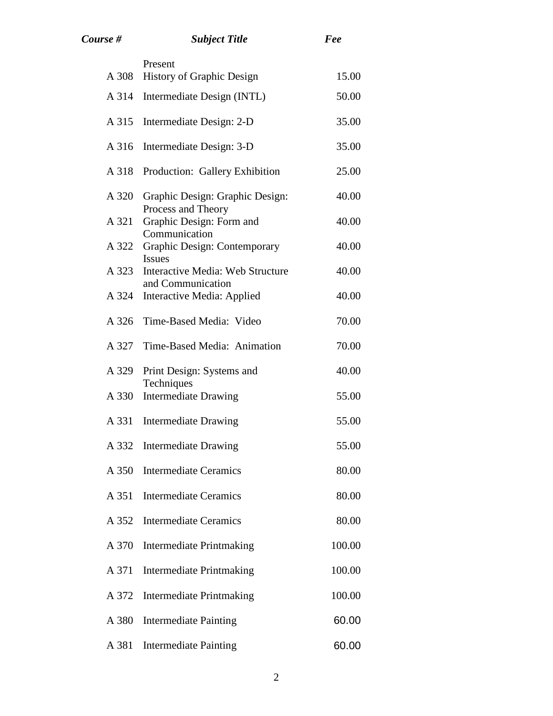| Course # | <b>Subject Title</b>                                  | Fee    |
|----------|-------------------------------------------------------|--------|
| A 308    | Present<br><b>History of Graphic Design</b>           | 15.00  |
| A 314    | Intermediate Design (INTL)                            | 50.00  |
| A 315    | Intermediate Design: 2-D                              | 35.00  |
|          |                                                       |        |
| A 316    | Intermediate Design: 3-D                              | 35.00  |
| A 318    | Production: Gallery Exhibition                        | 25.00  |
| A 320    | Graphic Design: Graphic Design:<br>Process and Theory | 40.00  |
| A 321    | Graphic Design: Form and<br>Communication             | 40.00  |
| A 322    | Graphic Design: Contemporary<br><b>Issues</b>         | 40.00  |
| A 323    | Interactive Media: Web Structure<br>and Communication | 40.00  |
| A 324    | Interactive Media: Applied                            | 40.00  |
| A 326    | Time-Based Media: Video                               | 70.00  |
| A 327    | Time-Based Media: Animation                           | 70.00  |
| A 329    | Print Design: Systems and<br>Techniques               | 40.00  |
| A 330    | <b>Intermediate Drawing</b>                           | 55.00  |
| A 331    | <b>Intermediate Drawing</b>                           | 55.00  |
| A 332    | <b>Intermediate Drawing</b>                           | 55.00  |
| A 350    | <b>Intermediate Ceramics</b>                          | 80.00  |
| A 351    | <b>Intermediate Ceramics</b>                          | 80.00  |
| A 352    | <b>Intermediate Ceramics</b>                          | 80.00  |
| A 370    | <b>Intermediate Printmaking</b>                       | 100.00 |
| A 371    | <b>Intermediate Printmaking</b>                       | 100.00 |
| A 372    | <b>Intermediate Printmaking</b>                       | 100.00 |
| A 380    | <b>Intermediate Painting</b>                          | 60.00  |
| A 381    | <b>Intermediate Painting</b>                          | 60.00  |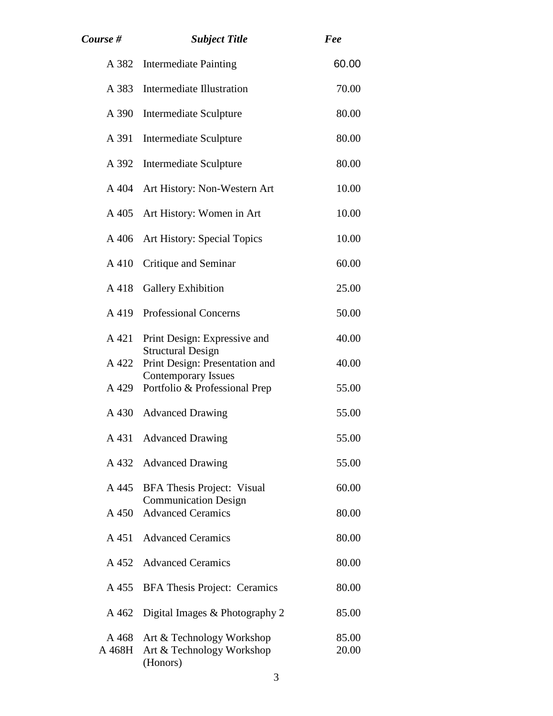| Course #        | <b>Subject Title</b>                                               | Fee            |
|-----------------|--------------------------------------------------------------------|----------------|
| A 382           | <b>Intermediate Painting</b>                                       | 60.00          |
| A 383           | <b>Intermediate Illustration</b>                                   | 70.00          |
| A 390           | Intermediate Sculpture                                             | 80.00          |
| A 391           | Intermediate Sculpture                                             | 80.00          |
| A 392           | Intermediate Sculpture                                             | 80.00          |
| A 404           | Art History: Non-Western Art                                       | 10.00          |
| A 405           | Art History: Women in Art                                          | 10.00          |
| A 406           | Art History: Special Topics                                        | 10.00          |
| A 410           | Critique and Seminar                                               | 60.00          |
| A 418           | <b>Gallery Exhibition</b>                                          | 25.00          |
| A 419           | <b>Professional Concerns</b>                                       | 50.00          |
| A 421           | Print Design: Expressive and<br><b>Structural Design</b>           | 40.00          |
| A 422           | Print Design: Presentation and                                     | 40.00          |
| A 429           | <b>Contemporary Issues</b><br>Portfolio & Professional Prep        | 55.00          |
| A 430           | <b>Advanced Drawing</b>                                            | 55.00          |
| A 431           | <b>Advanced Drawing</b>                                            | 55.00          |
| A 432           | <b>Advanced Drawing</b>                                            | 55.00          |
| A 445           | BFA Thesis Project: Visual<br><b>Communication Design</b>          | 60.00          |
| A 450           | <b>Advanced Ceramics</b>                                           | 80.00          |
| A 451           | <b>Advanced Ceramics</b>                                           | 80.00          |
| A 452           | <b>Advanced Ceramics</b>                                           | 80.00          |
| A 455           | <b>BFA Thesis Project: Ceramics</b>                                | 80.00          |
| A 462           | Digital Images & Photography 2                                     | 85.00          |
| A 468<br>A 468H | Art & Technology Workshop<br>Art & Technology Workshop<br>(Honors) | 85.00<br>20.00 |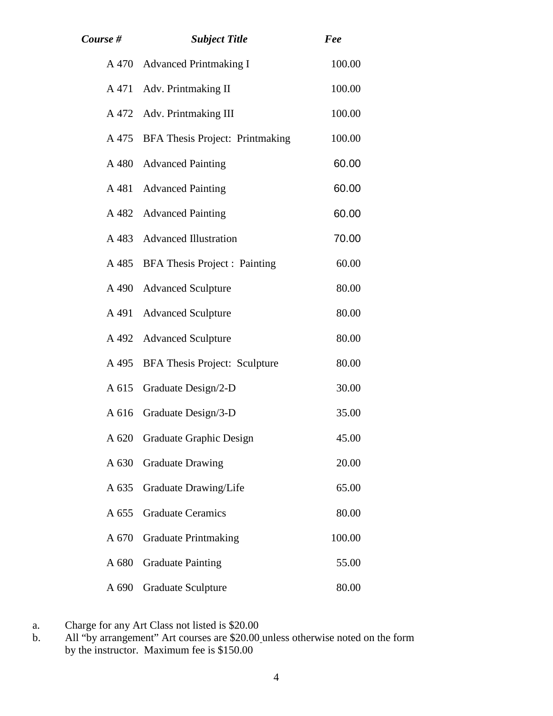| Course # | <b>Subject Title</b>                | Fee    |
|----------|-------------------------------------|--------|
|          | A 470 Advanced Printmaking I        | 100.00 |
|          | A 471 Adv. Printmaking II           | 100.00 |
|          | A 472 Adv. Printmaking III          | 100.00 |
| A 475    | BFA Thesis Project: Printmaking     | 100.00 |
|          | A 480 Advanced Painting             | 60.00  |
| A 481    | <b>Advanced Painting</b>            | 60.00  |
| A 482    | <b>Advanced Painting</b>            | 60.00  |
|          | A 483 Advanced Illustration         | 70.00  |
|          | A 485 BFA Thesis Project : Painting | 60.00  |
|          | A 490 Advanced Sculpture            | 80.00  |
| A 491    | <b>Advanced Sculpture</b>           | 80.00  |
|          | A 492 Advanced Sculpture            | 80.00  |
|          | A 495 BFA Thesis Project: Sculpture | 80.00  |
| A 615    | Graduate Design/2-D                 | 30.00  |
|          | A 616 Graduate Design/3-D           | 35.00  |
| A 620    | <b>Graduate Graphic Design</b>      | 45.00  |
| A 630    | <b>Graduate Drawing</b>             | 20.00  |
| A 635    | Graduate Drawing/Life               | 65.00  |
| A 655    | <b>Graduate Ceramics</b>            | 80.00  |
| A 670    | <b>Graduate Printmaking</b>         | 100.00 |
| A 680    | <b>Graduate Painting</b>            | 55.00  |
| A 690    | <b>Graduate Sculpture</b>           | 80.00  |

a. Charge for any Art Class not listed is \$20.00

b. All "by arrangement" Art courses are \$20.00 unless otherwise noted on the form by the instructor. Maximum fee is \$150.00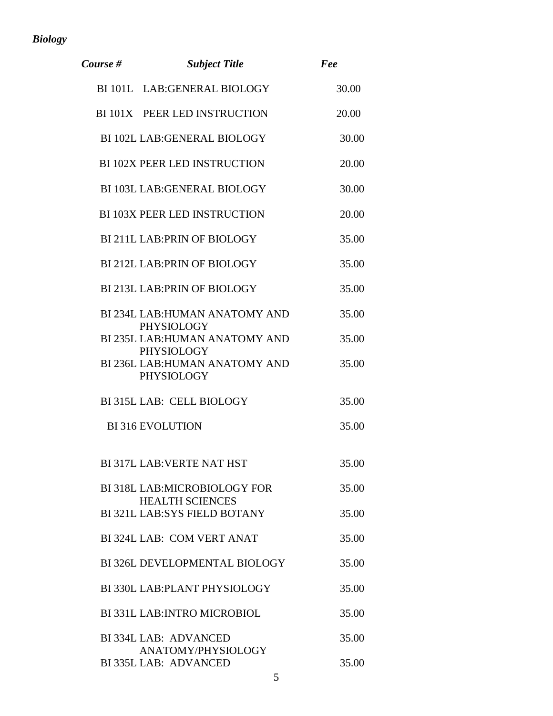# *Biology*

| Course # | <b>Subject Title</b>                                    | Fee   |
|----------|---------------------------------------------------------|-------|
|          | BI 101L LAB: GENERAL BIOLOGY                            | 30.00 |
|          | BI 101X PEER LED INSTRUCTION                            | 20.00 |
|          | <b>BI 102L LAB: GENERAL BIOLOGY</b>                     | 30.00 |
|          | <b>BI 102X PEER LED INSTRUCTION</b>                     | 20.00 |
|          | <b>BI 103L LAB: GENERAL BIOLOGY</b>                     | 30.00 |
|          | <b>BI 103X PEER LED INSTRUCTION</b>                     | 20.00 |
|          | <b>BI 211L LAB: PRIN OF BIOLOGY</b>                     | 35.00 |
|          | <b>BI 212L LAB: PRIN OF BIOLOGY</b>                     | 35.00 |
|          | <b>BI 213L LAB: PRIN OF BIOLOGY</b>                     | 35.00 |
|          | BI 234L LAB: HUMAN ANATOMY AND<br>PHYSIOLOGY            | 35.00 |
|          | BI 235L LAB: HUMAN ANATOMY AND<br><b>PHYSIOLOGY</b>     | 35.00 |
|          | BI 236L LAB: HUMAN ANATOMY AND<br><b>PHYSIOLOGY</b>     | 35.00 |
|          | BI315L LAB: CELL BIOLOGY                                | 35.00 |
|          | <b>BI316 EVOLUTION</b>                                  | 35.00 |
|          | <b>BI317L LAB: VERTE NAT HST</b>                        | 35.00 |
|          | BI 318L LAB: MICROBIOLOGY FOR<br><b>HEALTH SCIENCES</b> | 35.00 |
|          | <b>BI 321L LAB:SYS FIELD BOTANY</b>                     | 35.00 |
|          | BI 324L LAB: COM VERT ANAT                              | 35.00 |
|          | BI 326L DEVELOPMENTAL BIOLOGY                           | 35.00 |
|          | BI 330L LAB: PLANT PHYSIOLOGY                           | 35.00 |
|          | <b>BI 331L LAB: INTRO MICROBIOL</b>                     | 35.00 |
|          | BI 334L LAB: ADVANCED                                   | 35.00 |
|          | ANATOMY/PHYSIOLOGY<br>BI 335L LAB: ADVANCED             | 35.00 |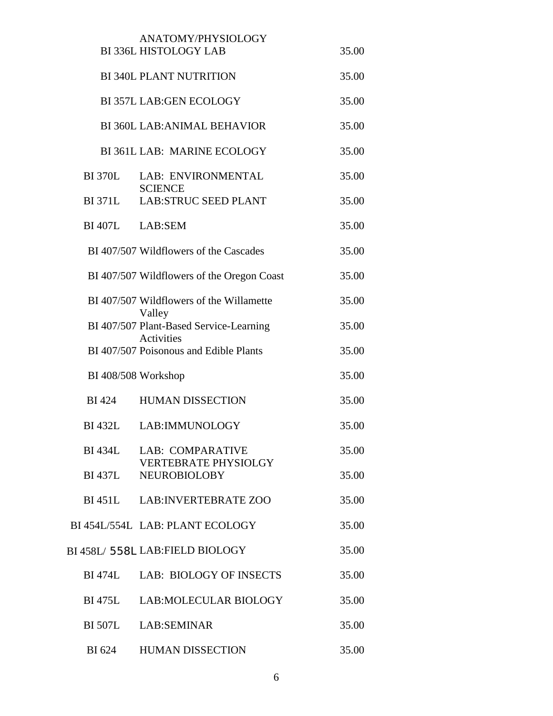|                     | ANATOMY/PHYSIOLOGY                                              |       |
|---------------------|-----------------------------------------------------------------|-------|
|                     | <b>BI 336L HISTOLOGY LAB</b>                                    | 35.00 |
|                     | <b>BI 340L PLANT NUTRITION</b>                                  | 35.00 |
|                     | <b>BI 357L LAB:GEN ECOLOGY</b>                                  | 35.00 |
|                     | <b>BI 360L LAB: ANIMAL BEHAVIOR</b>                             | 35.00 |
|                     | BI 361L LAB: MARINE ECOLOGY                                     | 35.00 |
| <b>BI 370L</b>      | LAB: ENVIRONMENTAL<br><b>SCIENCE</b>                            | 35.00 |
| <b>BI371L</b>       | <b>LAB:STRUC SEED PLANT</b>                                     | 35.00 |
| BI407L LAB:SEM      |                                                                 | 35.00 |
|                     | BI 407/507 Wildflowers of the Cascades                          | 35.00 |
|                     | BI 407/507 Wildflowers of the Oregon Coast                      | 35.00 |
|                     | BI 407/507 Wildflowers of the Willamette                        | 35.00 |
|                     | Valley<br>BI 407/507 Plant-Based Service-Learning<br>Activities | 35.00 |
|                     | BI 407/507 Poisonous and Edible Plants                          | 35.00 |
| BI 408/508 Workshop |                                                                 | 35.00 |
| <b>BI</b> 424       | <b>HUMAN DISSECTION</b>                                         | 35.00 |
|                     | BI432L LAB: IMMUNOLOGY                                          | 35.00 |
| BI 434L             | <b>LAB: COMPARATIVE</b><br><b>VERTEBRATE PHYSIOLGY</b>          | 35.00 |
| <b>BI</b> 437L      | <b>NEUROBIOLOBY</b>                                             | 35.00 |
|                     | BI451L LAB: INVERTEBRATE ZOO                                    | 35.00 |
|                     | BI 454L/554L LAB: PLANT ECOLOGY                                 | 35.00 |
|                     | BI 458L/ 558L LAB:FIELD BIOLOGY                                 | 35.00 |
| BI 474L             | LAB: BIOLOGY OF INSECTS                                         | 35.00 |
| <b>BI</b> 475L      | <b>LAB:MOLECULAR BIOLOGY</b>                                    | 35.00 |
|                     | BI 507L LAB:SEMINAR                                             | 35.00 |
| BI 624              | <b>HUMAN DISSECTION</b>                                         | 35.00 |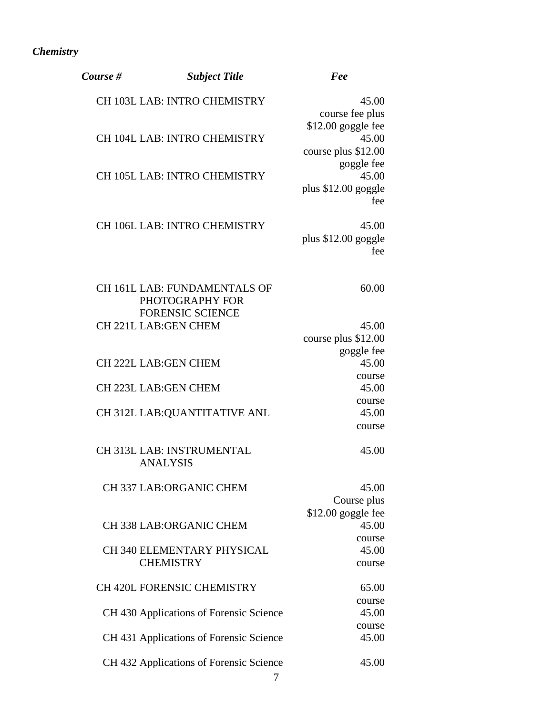# *Chemistry*

| Course # | <b>Subject Title</b>                    | Fee                 |
|----------|-----------------------------------------|---------------------|
|          | CH 103L LAB: INTRO CHEMISTRY            | 45.00               |
|          |                                         | course fee plus     |
|          |                                         | $$12.00$ goggle fee |
|          | CH 104L LAB: INTRO CHEMISTRY            | 45.00               |
|          |                                         | course plus \$12.00 |
|          |                                         | goggle fee          |
|          | CH 105L LAB: INTRO CHEMISTRY            | 45.00               |
|          |                                         | plus \$12.00 goggle |
|          |                                         | fee                 |
|          | CH 106L LAB: INTRO CHEMISTRY            | 45.00               |
|          |                                         | plus \$12.00 goggle |
|          |                                         | fee                 |
|          |                                         |                     |
|          | CH 161L LAB: FUNDAMENTALS OF            | 60.00               |
|          | PHOTOGRAPHY FOR                         |                     |
|          | <b>FORENSIC SCIENCE</b>                 |                     |
|          | <b>CH 221L LAB: GEN CHEM</b>            | 45.00               |
|          |                                         | course plus \$12.00 |
|          |                                         | goggle fee          |
|          | <b>CH 222L LAB:GEN CHEM</b>             | 45.00               |
|          |                                         | course              |
|          | <b>CH 223L LAB:GEN CHEM</b>             | 45.00               |
|          |                                         | course              |
|          | CH 312L LAB: QUANTITATIVE ANL           | 45.00               |
|          |                                         | course              |
|          | CH 313L LAB: INSTRUMENTAL               | 45.00               |
|          | <b>ANALYSIS</b>                         |                     |
|          |                                         |                     |
|          | <b>CH 337 LAB:ORGANIC CHEM</b>          | 45.00               |
|          |                                         | Course plus         |
|          |                                         | $$12.00$ goggle fee |
|          | <b>CH 338 LAB:ORGANIC CHEM</b>          | 45.00               |
|          |                                         | course              |
|          | CH 340 ELEMENTARY PHYSICAL              | 45.00               |
|          | <b>CHEMISTRY</b>                        | course              |
|          | <b>CH 420L FORENSIC CHEMISTRY</b>       | 65.00               |
|          |                                         | course              |
|          | CH 430 Applications of Forensic Science | 45.00               |
|          |                                         | course              |
|          | CH 431 Applications of Forensic Science | 45.00               |
|          | CH 432 Applications of Forensic Science | 45.00               |
|          | 7                                       |                     |
|          |                                         |                     |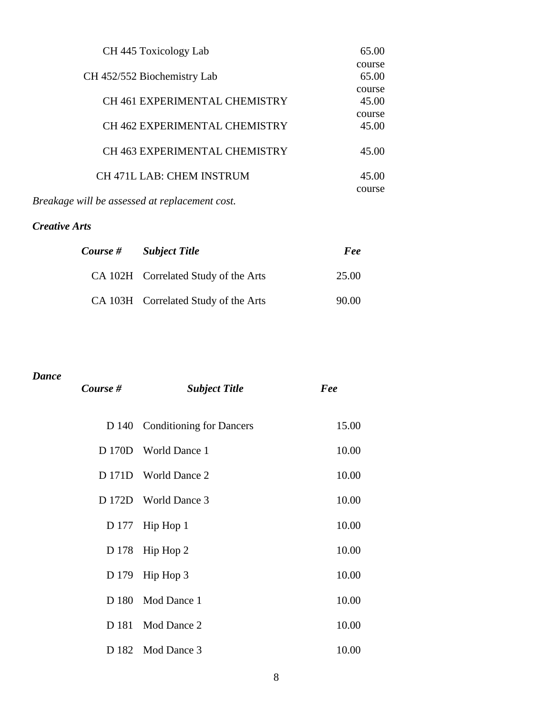| CH 445 Toxicology Lab                | 65.00  |
|--------------------------------------|--------|
|                                      | course |
| CH 452/552 Biochemistry Lab          | 65.00  |
|                                      | course |
| <b>CH 461 EXPERIMENTAL CHEMISTRY</b> | 45.00  |
|                                      | course |
| <b>CH 462 EXPERIMENTAL CHEMISTRY</b> | 45.00  |
| <b>CH 463 EXPERIMENTAL CHEMISTRY</b> | 45.00  |
|                                      |        |
| <b>CH 471L LAB: CHEM INSTRUM</b>     | 45.00  |
|                                      | course |

*Breakage will be assessed at replacement cost.*

# *Creative Arts*

| Course # | <b>Subject Title</b>                 | Fee   |
|----------|--------------------------------------|-------|
|          | CA 102H Correlated Study of the Arts | 25.00 |
|          | CA 103H Correlated Study of the Arts | 90.00 |

## *Dance*

| Course # | <b>Subject Title</b>           | Fee   |
|----------|--------------------------------|-------|
|          | D 140 Conditioning for Dancers | 15.00 |
|          | D 170D World Dance 1           | 10.00 |
|          | D 171D World Dance 2           | 10.00 |
|          | D 172D World Dance 3           | 10.00 |
|          | D 177 Hip Hop $1$              | 10.00 |
|          | D 178 Hip Hop 2                | 10.00 |
|          | D 179 Hip Hop $3$              | 10.00 |
|          | D 180 Mod Dance 1              | 10.00 |
| D 181    | Mod Dance 2                    | 10.00 |
|          | D 182 Mod Dance 3              | 10.00 |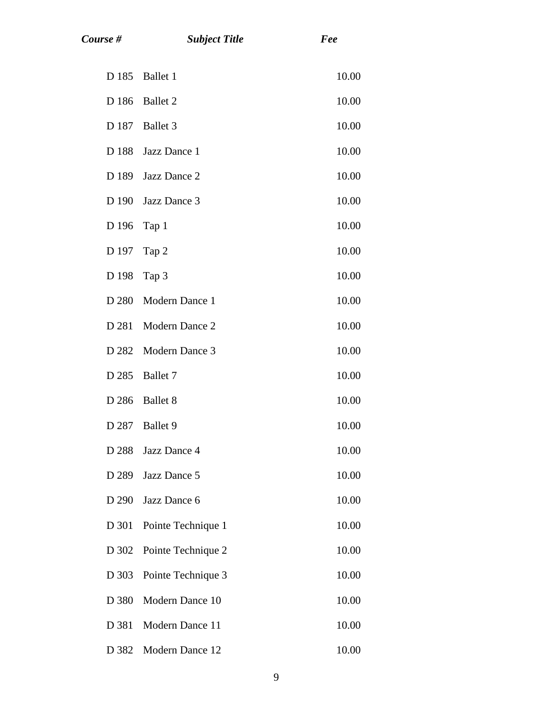| Course # | <b>Subject Title</b> | Fee   |
|----------|----------------------|-------|
| D 185    | Ballet 1             | 10.00 |
| D 186    | <b>Ballet 2</b>      | 10.00 |
| D 187    | Ballet 3             | 10.00 |
| D 188    | Jazz Dance 1         | 10.00 |
| D 189    | Jazz Dance 2         | 10.00 |
| D 190    | Jazz Dance 3         | 10.00 |
| D 196    | Tap 1                | 10.00 |
| D 197    | Tap 2                | 10.00 |
| D 198    | Tap 3                | 10.00 |
| D 280    | Modern Dance 1       | 10.00 |
| D 281    | Modern Dance 2       | 10.00 |
| D 282    | Modern Dance 3       | 10.00 |
| D 285    | Ballet 7             | 10.00 |
| D 286    | <b>Ballet 8</b>      | 10.00 |
| D 287    | Ballet 9             | 10.00 |
| D 288    | Jazz Dance 4         | 10.00 |
| D 289    | Jazz Dance 5         | 10.00 |
| D 290    | Jazz Dance 6         | 10.00 |
| D 301    | Pointe Technique 1   | 10.00 |
| D 302    | Pointe Technique 2   | 10.00 |
| D 303    | Pointe Technique 3   | 10.00 |
| D 380    | Modern Dance 10      | 10.00 |
| D 381    | Modern Dance 11      | 10.00 |
| D 382    | Modern Dance 12      | 10.00 |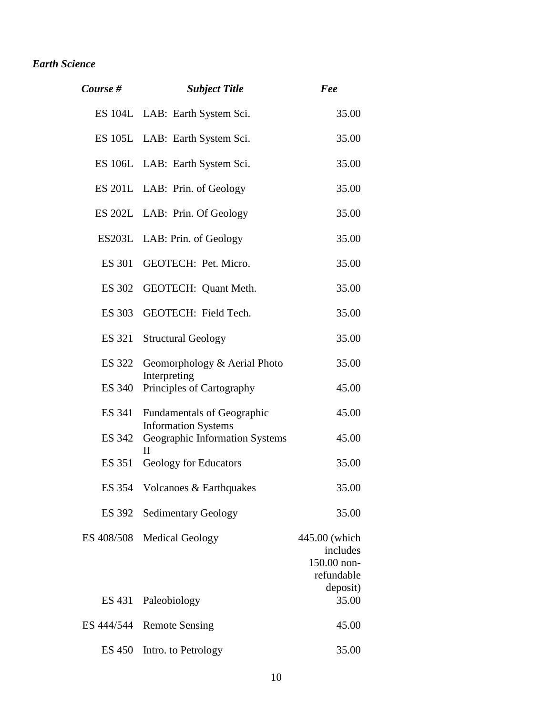# *Earth Science*

| Course #      | <b>Subject Title</b>                                            | Fee                                                                |
|---------------|-----------------------------------------------------------------|--------------------------------------------------------------------|
|               | ES 104L LAB: Earth System Sci.                                  | 35.00                                                              |
|               | ES 105L LAB: Earth System Sci.                                  | 35.00                                                              |
|               | ES 106L LAB: Earth System Sci.                                  | 35.00                                                              |
|               | ES 201L LAB: Prin. of Geology                                   | 35.00                                                              |
|               | ES 202L LAB: Prin. Of Geology                                   | 35.00                                                              |
|               | ES203L LAB: Prin. of Geology                                    | 35.00                                                              |
| ES 301        | GEOTECH: Pet. Micro.                                            | 35.00                                                              |
| ES 302        | GEOTECH: Quant Meth.                                            | 35.00                                                              |
| ES 303        | GEOTECH: Field Tech.                                            | 35.00                                                              |
| ES 321        | <b>Structural Geology</b>                                       | 35.00                                                              |
| ES 322        | Geomorphology & Aerial Photo<br>Interpreting                    | 35.00                                                              |
| ES 340        | Principles of Cartography                                       | 45.00                                                              |
| ES 341        | <b>Fundamentals of Geographic</b><br><b>Information Systems</b> | 45.00                                                              |
| ES 342        | Geographic Information Systems<br>$\mathbf{H}$                  | 45.00                                                              |
| ES 351        | Geology for Educators                                           | 35.00                                                              |
|               | ES 354 Volcanoes & Earthquakes                                  | 35.00                                                              |
| ES 392        | <b>Sedimentary Geology</b>                                      | 35.00                                                              |
| ES 408/508    | <b>Medical Geology</b>                                          | 445.00 (which<br>includes<br>150.00 non-<br>refundable<br>deposit) |
| ES 431        | Paleobiology                                                    | 35.00                                                              |
| ES 444/544    | <b>Remote Sensing</b>                                           | 45.00                                                              |
| <b>ES 450</b> | Intro. to Petrology                                             | 35.00                                                              |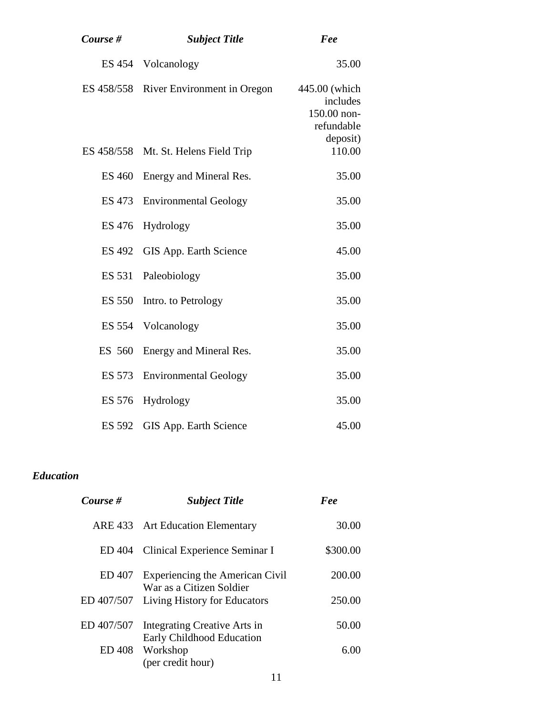| Course #      | <b>Subject Title</b>                   | Fee                                                    |
|---------------|----------------------------------------|--------------------------------------------------------|
|               | ES 454 Volcanology                     | 35.00                                                  |
|               | ES 458/558 River Environment in Oregon | 445.00 (which<br>includes<br>150.00 non-<br>refundable |
|               | ES 458/558 Mt. St. Helens Field Trip   | deposit)<br>110.00                                     |
| <b>ES 460</b> | Energy and Mineral Res.                | 35.00                                                  |
| ES 473        | <b>Environmental Geology</b>           | 35.00                                                  |
| <b>ES 476</b> | Hydrology                              | 35.00                                                  |
| <b>ES 492</b> | GIS App. Earth Science                 | 45.00                                                  |
| ES 531        | Paleobiology                           | 35.00                                                  |
| <b>ES 550</b> | Intro. to Petrology                    | 35.00                                                  |
| ES 554        | Volcanology                            | 35.00                                                  |
| ES 560        | Energy and Mineral Res.                | 35.00                                                  |
| ES 573        | <b>Environmental Geology</b>           | 35.00                                                  |
| ES 576        | Hydrology                              | 35.00                                                  |
| <b>ES 592</b> | <b>GIS App. Earth Science</b>          | 45.00                                                  |

# *Education*

| Course #      | <b>Subject Title</b>                                        | Fee      |
|---------------|-------------------------------------------------------------|----------|
|               | ARE 433 Art Education Elementary                            | 30.00    |
| ED 404        | Clinical Experience Seminar I                               | \$300.00 |
| ED 407        | Experiencing the American Civil<br>War as a Citizen Soldier | 200.00   |
| ED 407/507    | Living History for Educators                                | 250.00   |
| ED 407/507    | Integrating Creative Arts in<br>Early Childhood Education   | 50.00    |
| <b>ED 408</b> | Workshop<br>(per credit hour)                               | 6.00     |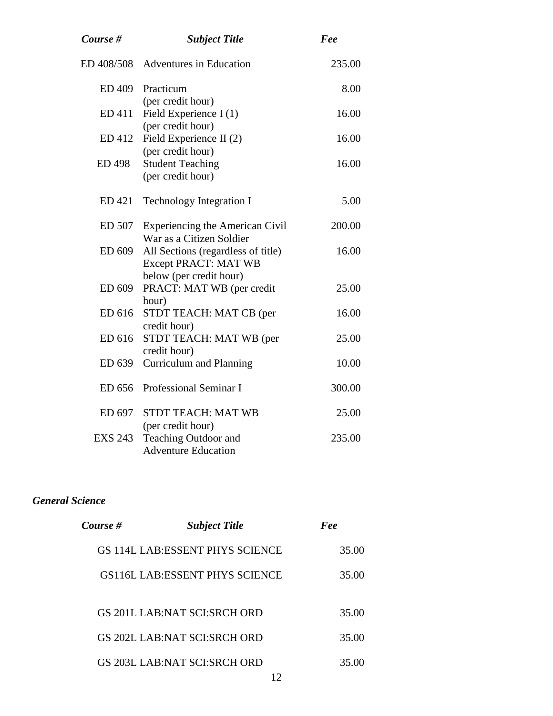| Course #       | <b>Subject Title</b>                                                                         | Fee    |
|----------------|----------------------------------------------------------------------------------------------|--------|
|                | ED 408/508 Adventures in Education                                                           | 235.00 |
| ED 409         | Practicum                                                                                    | 8.00   |
| ED 411         | (per credit hour)<br>Field Experience I (1)                                                  | 16.00  |
| ED 412         | (per credit hour)<br>Field Experience II (2)<br>(per credit hour)                            | 16.00  |
| <b>ED 498</b>  | <b>Student Teaching</b><br>(per credit hour)                                                 | 16.00  |
| ED 421         | <b>Technology Integration I</b>                                                              | 5.00   |
| ED 507         | <b>Experiencing the American Civil</b><br>War as a Citizen Soldier                           | 200.00 |
| ED 609         | All Sections (regardless of title)<br><b>Except PRACT: MAT WB</b><br>below (per credit hour) | 16.00  |
| ED 609         | PRACT: MAT WB (per credit<br>hour)                                                           | 25.00  |
| ED 616         | STDT TEACH: MAT CB (per<br>credit hour)                                                      | 16.00  |
| ED 616         | STDT TEACH: MAT WB (per<br>credit hour)                                                      | 25.00  |
| ED 639         | <b>Curriculum and Planning</b>                                                               | 10.00  |
| ED 656         | Professional Seminar I                                                                       | 300.00 |
| ED 697         | <b>STDT TEACH: MAT WB</b>                                                                    | 25.00  |
| <b>EXS 243</b> | (per credit hour)<br>Teaching Outdoor and<br><b>Adventure Education</b>                      | 235.00 |

## *General Science*

| Course # | <b>Subject Title</b>                   | Fee   |
|----------|----------------------------------------|-------|
|          | GS 114L LAB: ESSENT PHYS SCIENCE       | 35.00 |
|          | GS116L LAB: ESSENT PHYS SCIENCE        | 35.00 |
|          | GS 201L LAB:NAT SCI:SRCH ORD           | 35.00 |
|          | GS 202L LAB:NAT SCI:SRCH ORD           | 35.00 |
|          | GS 203L LAB:NAT SCI:SRCH ORD<br>$\sim$ | 35.00 |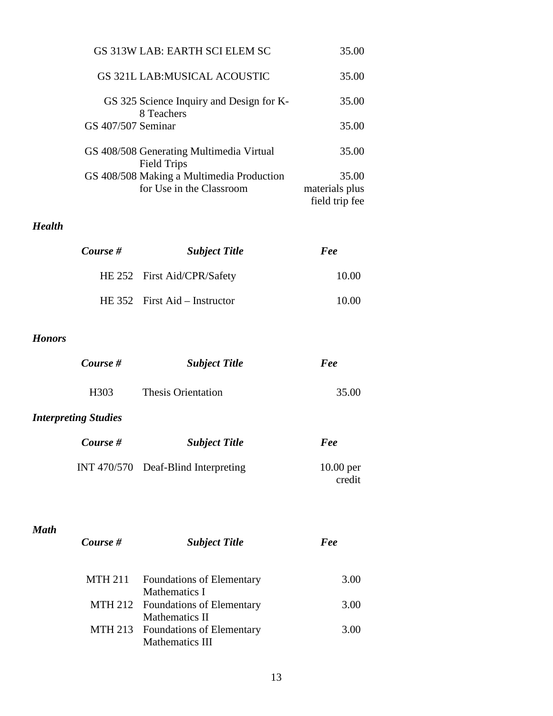| GS 313W LAB: EARTH SCI ELEM SC                                        | 35.00                                     |
|-----------------------------------------------------------------------|-------------------------------------------|
| GS 321L LAB:MUSICAL ACOUSTIC                                          | 35.00                                     |
| GS 325 Science Inquiry and Design for K-<br>8 Teachers                | 35.00                                     |
| GS 407/507 Seminar                                                    | 35.00                                     |
| GS 408/508 Generating Multimedia Virtual<br><b>Field Trips</b>        | 35.00                                     |
| GS 408/508 Making a Multimedia Production<br>for Use in the Classroom | 35.00<br>materials plus<br>field trip fee |

# *Health*

| Course # | <b>Subject Title</b>            | Fee   |
|----------|---------------------------------|-------|
|          | HE 252 First Aid/CPR/Safety     | 10.00 |
|          | HE $352$ First Aid – Instructor | 10.00 |

## *Honors*

*Math*

| Course #                    | <b>Subject Title</b>                  | Fee                   |
|-----------------------------|---------------------------------------|-----------------------|
| H303                        | <b>Thesis Orientation</b>             | 35.00                 |
| <b>Interpreting Studies</b> |                                       |                       |
| Course #                    | <b>Subject Title</b>                  | Fee                   |
|                             | INT $470/570$ Deaf-Blind Interpreting | $10.00$ per<br>credit |

| Course #       | <b>Subject Title</b>              | Fee   |
|----------------|-----------------------------------|-------|
|                |                                   |       |
| <b>MTH 211</b> | <b>Foundations of Elementary</b>  | 3(00) |
|                | Mathematics I                     |       |
|                | MTH 212 Foundations of Elementary | 3.00  |
|                | Mathematics II                    |       |
|                | MTH 213 Foundations of Elementary | 3.00  |
|                | Mathematics III                   |       |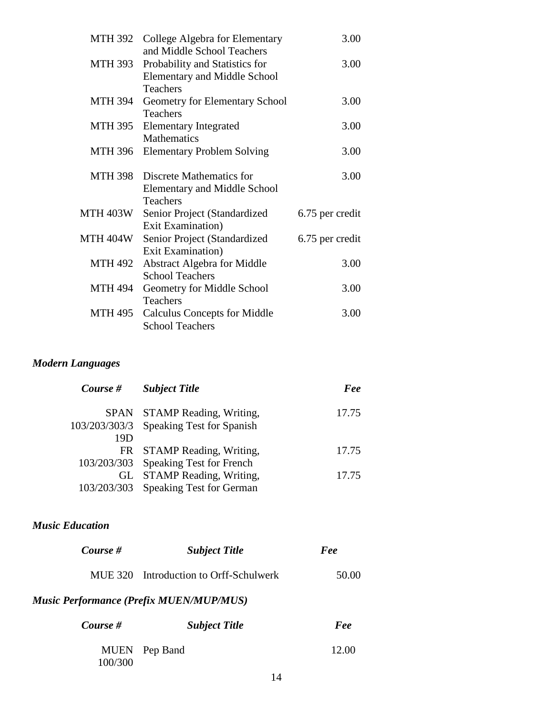| MTH 392        | College Algebra for Elementary<br>and Middle School Teachers                       | 3.00            |
|----------------|------------------------------------------------------------------------------------|-----------------|
| MTH 393        | Probability and Statistics for<br><b>Elementary and Middle School</b>              | 3.00            |
| MTH 394        | <b>Teachers</b><br>Geometry for Elementary School<br><b>Teachers</b>               | 3.00            |
| MTH 395        | <b>Elementary Integrated</b><br><b>Mathematics</b>                                 | 3.00            |
| MTH 396        | <b>Elementary Problem Solving</b>                                                  | 3.00            |
| MTH 398        | Discrete Mathematics for<br><b>Elementary and Middle School</b><br><b>Teachers</b> | 3.00            |
| MTH 403W       | Senior Project (Standardized<br>Exit Examination)                                  | 6.75 per credit |
| MTH 404W       | Senior Project (Standardized<br>Exit Examination)                                  | 6.75 per credit |
| MTH 492        | <b>Abstract Algebra for Middle</b><br><b>School Teachers</b>                       | 3.00            |
| <b>MTH 494</b> | Geometry for Middle School<br><b>Teachers</b>                                      | 3.00            |
| MTH 495        | <b>Calculus Concepts for Middle</b><br><b>School Teachers</b>                      | 3.00            |

## *Modern Languages*

| Course # | <b>Subject Title</b>                    | Fee   |
|----------|-----------------------------------------|-------|
|          | SPAN STAMP Reading, Writing,            | 17.75 |
|          | 103/203/303/3 Speaking Test for Spanish |       |
| 19D      |                                         |       |
|          | FR STAMP Reading, Writing,              | 17.75 |
|          | 103/203/303 Speaking Test for French    |       |
|          | GL STAMP Reading, Writing,              | 17.75 |
|          | 103/203/303 Speaking Test for German    |       |

# *Music Education*

| Course #                                       | <b>Subject Title</b>                   | Fee   |
|------------------------------------------------|----------------------------------------|-------|
|                                                | MUE 320 Introduction to Orff-Schulwerk | 50.00 |
| <b>Music Performance (Prefix MUEN/MUP/MUS)</b> |                                        |       |

| Course # | <b>Subject Title</b> | Fee   |
|----------|----------------------|-------|
| 100/300  | MUEN Pep Band        | 12.00 |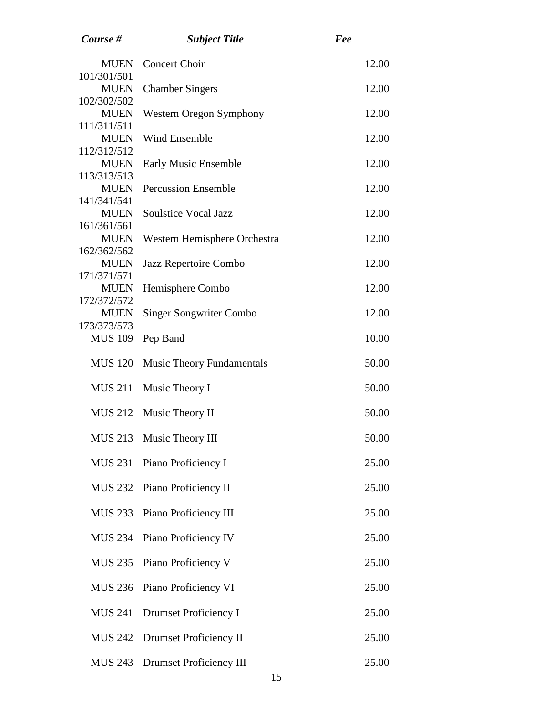| Course #                                  | <b>Subject Title</b>             | Fee   |
|-------------------------------------------|----------------------------------|-------|
| <b>MUEN</b><br>101/301/501                | <b>Concert Choir</b>             | 12.00 |
| <b>MUEN</b><br>102/302/502                | <b>Chamber Singers</b>           | 12.00 |
| <b>MUEN</b><br>111/311/511                | Western Oregon Symphony          | 12.00 |
| <b>MUEN</b>                               | <b>Wind Ensemble</b>             | 12.00 |
| 112/312/512<br><b>MUEN</b>                | Early Music Ensemble             | 12.00 |
| 113/313/513<br><b>MUEN</b>                | <b>Percussion Ensemble</b>       | 12.00 |
| 141/341/541<br><b>MUEN</b>                | <b>Soulstice Vocal Jazz</b>      | 12.00 |
| 161/361/561<br><b>MUEN</b>                | Western Hemisphere Orchestra     | 12.00 |
| 162/362/562<br><b>MUEN</b>                | Jazz Repertoire Combo            | 12.00 |
| 171/371/571<br><b>MUEN</b>                | Hemisphere Combo                 | 12.00 |
| 172/372/572<br><b>MUEN</b><br>173/373/573 | <b>Singer Songwriter Combo</b>   | 12.00 |
| <b>MUS 109</b>                            | Pep Band                         | 10.00 |
| <b>MUS 120</b>                            | <b>Music Theory Fundamentals</b> | 50.00 |
| <b>MUS 211</b>                            | Music Theory I                   | 50.00 |
| <b>MUS 212</b>                            | Music Theory II                  | 50.00 |
|                                           | MUS 213 Music Theory III         | 50.00 |
| <b>MUS 231</b>                            | Piano Proficiency I              | 25.00 |
| <b>MUS 232</b>                            | Piano Proficiency II             | 25.00 |
| <b>MUS 233</b>                            | Piano Proficiency III            | 25.00 |
| <b>MUS 234</b>                            | Piano Proficiency IV             | 25.00 |
| <b>MUS 235</b>                            | Piano Proficiency V              | 25.00 |
| <b>MUS 236</b>                            | Piano Proficiency VI             | 25.00 |
| <b>MUS 241</b>                            | <b>Drumset Proficiency I</b>     | 25.00 |
| <b>MUS 242</b>                            | Drumset Proficiency II           | 25.00 |
| <b>MUS 243</b>                            | Drumset Proficiency III          | 25.00 |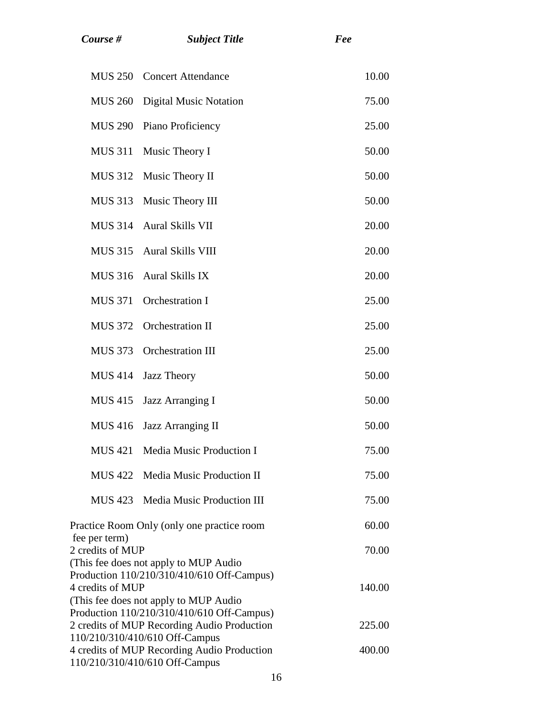|                                                                                      | <b>MUS 250</b> | <b>Concert Attendance</b>          | 10.00  |
|--------------------------------------------------------------------------------------|----------------|------------------------------------|--------|
|                                                                                      | <b>MUS 260</b> | <b>Digital Music Notation</b>      | 75.00  |
|                                                                                      | <b>MUS 290</b> | Piano Proficiency                  | 25.00  |
|                                                                                      | <b>MUS 311</b> | Music Theory I                     | 50.00  |
|                                                                                      | <b>MUS 312</b> | Music Theory II                    | 50.00  |
|                                                                                      | MUS 313        | Music Theory III                   | 50.00  |
|                                                                                      | <b>MUS 314</b> | Aural Skills VII                   | 20.00  |
|                                                                                      | <b>MUS 315</b> | <b>Aural Skills VIII</b>           | 20.00  |
|                                                                                      | <b>MUS 316</b> | <b>Aural Skills IX</b>             | 20.00  |
|                                                                                      | <b>MUS 371</b> | Orchestration I                    | 25.00  |
|                                                                                      | <b>MUS 372</b> | <b>Orchestration II</b>            | 25.00  |
|                                                                                      | <b>MUS 373</b> | <b>Orchestration III</b>           | 25.00  |
|                                                                                      | <b>MUS 414</b> | Jazz Theory                        | 50.00  |
|                                                                                      | <b>MUS 415</b> | Jazz Arranging I                   | 50.00  |
|                                                                                      | <b>MUS 416</b> | <b>Jazz Arranging II</b>           | 50.00  |
|                                                                                      | <b>MUS 421</b> | <b>Media Music Production I</b>    | 75.00  |
|                                                                                      |                | MUS 422 Media Music Production II  | 75.00  |
|                                                                                      |                | MUS 423 Media Music Production III | 75.00  |
| Practice Room Only (only one practice room                                           |                |                                    | 60.00  |
| fee per term)<br>2 credits of MUP                                                    |                |                                    | 70.00  |
| (This fee does not apply to MUP Audio<br>Production 110/210/310/410/610 Off-Campus)  |                |                                    |        |
| 4 credits of MUP                                                                     |                |                                    | 140.00 |
| (This fee does not apply to MUP Audio)<br>Production 110/210/310/410/610 Off-Campus) |                |                                    |        |
| 2 credits of MUP Recording Audio Production<br>110/210/310/410/610 Off-Campus        |                | 225.00                             |        |
|                                                                                      |                |                                    |        |

*Course # Subject Title Fee*

400.00

4 credits of MUP Recording Audio Production

110/210/310/410/610 Off-Campus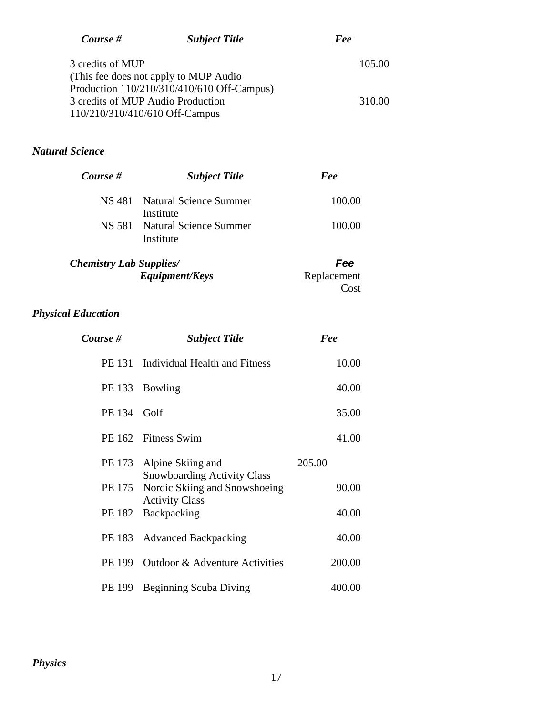| Course #                          | <b>Subject Title</b>                       | Fee    |
|-----------------------------------|--------------------------------------------|--------|
| 3 credits of MUP                  |                                            | 105.00 |
|                                   | (This fee does not apply to MUP Audio)     |        |
|                                   | Production 110/210/310/410/610 Off-Campus) |        |
| 3 credits of MUP Audio Production |                                            | 310.00 |
| 110/210/310/410/610 Off-Campus    |                                            |        |

# *Natural Science*

| Course # | <b>Subject Title</b>                       | Fee    |
|----------|--------------------------------------------|--------|
|          | NS 481 Natural Science Summer<br>Institute | 100.00 |
|          | NS 581 Natural Science Summer<br>Institute | 100.00 |

| <b>Chemistry Lab Supplies</b> / | Fee         |
|---------------------------------|-------------|
| <i>Equipment/Keys</i>           | Replacement |
|                                 | Cost        |

# *Physical Education*

| Course #    | <b>Subject Title</b>                                           | Fee    |
|-------------|----------------------------------------------------------------|--------|
|             | PE 131 Individual Health and Fitness                           | 10.00  |
|             | PE 133 Bowling                                                 | 40.00  |
| PE 134 Golf |                                                                | 35.00  |
|             | PE 162 Fitness Swim                                            | 41.00  |
|             | PE 173 Alpine Skiing and<br><b>Snowboarding Activity Class</b> | 205.00 |
| PE 175      | Nordic Skiing and Snowshoeing<br><b>Activity Class</b>         | 90.00  |
| PE 182      | Backpacking                                                    | 40.00  |
| PE 183      | <b>Advanced Backpacking</b>                                    | 40.00  |
| PE 199      | Outdoor & Adventure Activities                                 | 200.00 |
| PE 199      | <b>Beginning Scuba Diving</b>                                  | 400.00 |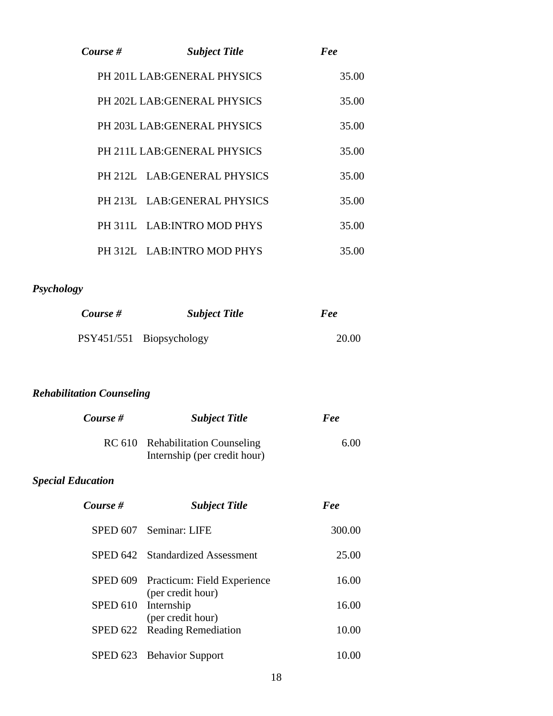| Course # | <b>Subject Title</b>         | Fee   |
|----------|------------------------------|-------|
|          | PH 201L LAB: GENERAL PHYSICS | 35.00 |
|          | PH 202L LAB: GENERAL PHYSICS | 35.00 |
|          | PH 203L LAB: GENERAL PHYSICS | 35.00 |
|          | PH 211L LAB:GENERAL PHYSICS  | 35.00 |
|          | PH 212L LAB: GENERAL PHYSICS | 35.00 |
|          | PH 213L LAB: GENERAL PHYSICS | 35.00 |
|          | PH 311L LAB: INTRO MOD PHYS  | 35.00 |
|          | PH 312L LAB: INTRO MOD PHYS  | 35.00 |

# *Psychology*

| Course # | <b>Subject Title</b>     | Fee   |
|----------|--------------------------|-------|
|          | PSY451/551 Biopsychology | 20.00 |

# *Rehabilitation Counseling*

| Course # | <b>Subject Title</b>                                             | Fee  |
|----------|------------------------------------------------------------------|------|
|          | RC 610 Rehabilitation Counseling<br>Internship (per credit hour) | 6.00 |

# *Special Education*

| Course # | <b>Subject Title</b>                                      | Fee    |
|----------|-----------------------------------------------------------|--------|
|          | SPED 607 Seminar: LIFE                                    | 300.00 |
|          | SPED 642 Standardized Assessment                          | 25.00  |
|          | SPED 609 Practicum: Field Experience<br>(per credit hour) | 16.00  |
|          | SPED 610 Internship<br>(per credit hour)                  | 16.00  |
| SPED 622 | <b>Reading Remediation</b>                                | 10.00  |
|          | SPED 623 Behavior Support                                 |        |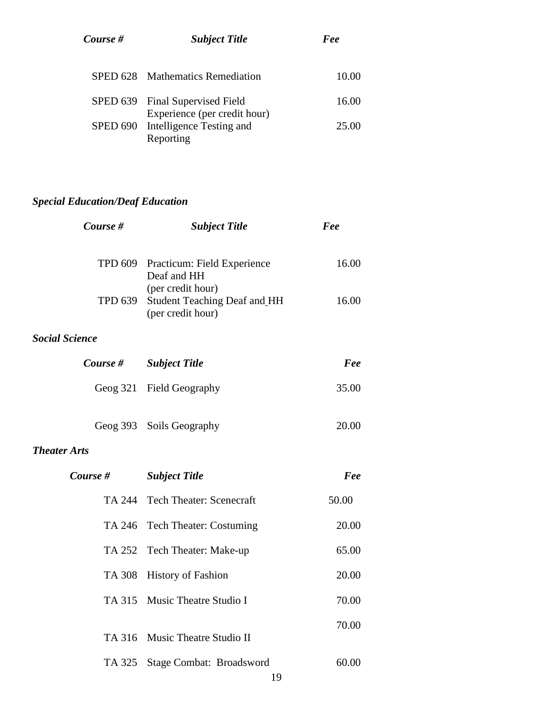| Course # | <b>Subject Title</b>                                            | Fee   |
|----------|-----------------------------------------------------------------|-------|
|          | SPED 628 Mathematics Remediation                                | 10.00 |
|          | SPED 639 Final Supervised Field<br>Experience (per credit hour) | 16.00 |
|          | SPED 690 Intelligence Testing and<br>Reporting                  | 25.00 |

# *Special Education/Deaf Education*

| Course #              | <b>Subject Title</b>                                                                                                                | Fee            |
|-----------------------|-------------------------------------------------------------------------------------------------------------------------------------|----------------|
| TPD 639               | TPD 609 Practicum: Field Experience<br>Deaf and HH<br>(per credit hour)<br><b>Student Teaching Deaf and HH</b><br>(per credit hour) | 16.00<br>16.00 |
| <b>Social Science</b> |                                                                                                                                     |                |
| Course #              | <b>Subject Title</b>                                                                                                                | Fee            |
|                       | Geog 321 Field Geography                                                                                                            | 35.00          |
| <b>Theater Arts</b>   | Geog 393 Soils Geography                                                                                                            | 20.00          |
| Course #              | <b>Subject Title</b>                                                                                                                | Fee            |
|                       | TA 244 Tech Theater: Scenecraft                                                                                                     | 50.00          |
|                       | TA 246 Tech Theater: Costuming                                                                                                      | 20.00          |
|                       | TA 252 Tech Theater: Make-up                                                                                                        | 65.00          |
| TA 308                | <b>History of Fashion</b>                                                                                                           | 20.00          |
|                       | TA 315 Music Theatre Studio I                                                                                                       | 70.00          |
|                       | TA 316 Music Theatre Studio II                                                                                                      | 70.00          |
| TA 325                | Stage Combat: Broadsword<br>19                                                                                                      | 60.00          |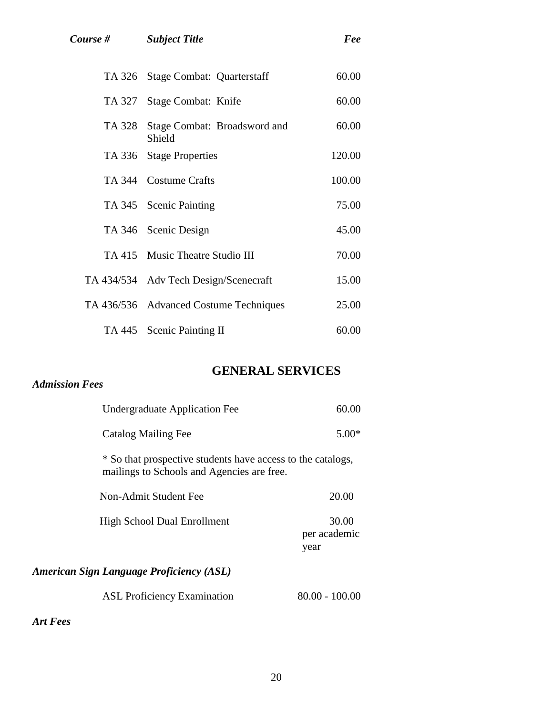|        | TA 326 Stage Combat: Quarterstaff      | 60.00  |
|--------|----------------------------------------|--------|
| TA 327 | Stage Combat: Knife                    | 60.00  |
| TA 328 | Stage Combat: Broadsword and<br>Shield | 60.00  |
|        | TA 336 Stage Properties                | 120.00 |
|        | TA 344 Costume Crafts                  | 100.00 |
|        | TA 345 Scenic Painting                 | 75.00  |
|        | TA 346 Scenic Design                   | 45.00  |
|        | TA 415 Music Theatre Studio III        | 70.00  |
|        | TA 434/534 Adv Tech Design/Scenecraft  | 15.00  |
|        | TA 436/536 Advanced Costume Techniques | 25.00  |
|        | TA 445 Scenic Painting II              | 60.00  |

# **GENERAL SERVICES**

## *Admission Fees*

| <b>Undergraduate Application Fee</b>                                                                      | 60.00                         |
|-----------------------------------------------------------------------------------------------------------|-------------------------------|
| Catalog Mailing Fee                                                                                       | $5.00*$                       |
| * So that prospective students have access to the catalogs,<br>mailings to Schools and Agencies are free. |                               |
| Non-Admit Student Fee                                                                                     | 20.00                         |
| High School Dual Enrollment                                                                               | 30.00<br>per academic<br>year |
| <b>American Sign Language Proficiency (ASL)</b>                                                           |                               |
| <b>ASL Proficiency Examination</b>                                                                        | 80.00 - 100.00                |

*Art Fees*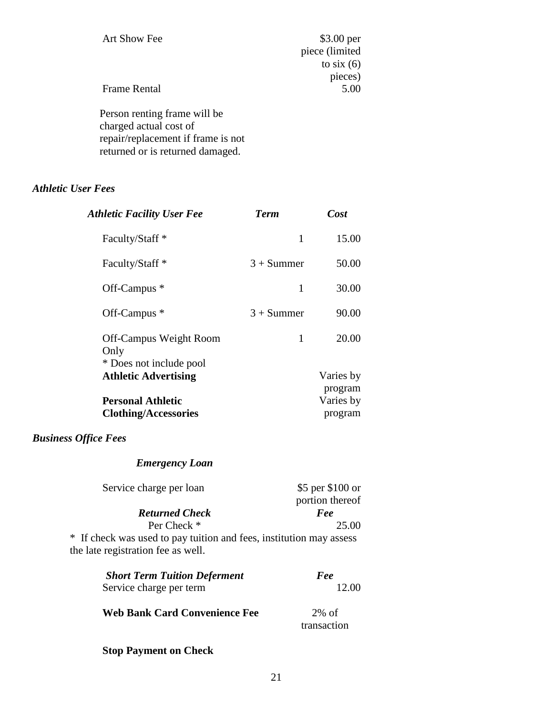| Art Show Fee                       | $$3.00$ per    |
|------------------------------------|----------------|
|                                    | piece (limited |
|                                    | to six $(6)$   |
|                                    | pieces)        |
| <b>Frame Rental</b>                | 5.00           |
| Person renting frame will be       |                |
| charged actual cost of             |                |
| repair/replacement if frame is not |                |

#### *Athletic User Fees*

| <b>Athletic Facility User Fee</b>                         | <b>Term</b>  | Cost                 |  |
|-----------------------------------------------------------|--------------|----------------------|--|
| Faculty/Staff <sup>*</sup>                                | 1            | 15.00                |  |
| Faculty/Staff <sup>*</sup>                                | $3 +$ Summer | 50.00                |  |
| Off-Campus *                                              | 1            | 30.00                |  |
| Off-Campus *                                              | $3 + Summer$ | 90.00                |  |
| Off-Campus Weight Room<br>Only<br>* Does not include pool | 1            | 20.00                |  |
| <b>Athletic Advertising</b>                               |              | Varies by<br>program |  |
| <b>Personal Athletic</b><br><b>Clothing/Accessories</b>   |              | Varies by<br>program |  |

#### *Business Office Fees*

#### *Emergency Loan*

returned or is returned damaged.

| Service charge per loan | \$5 per \$100 or |
|-------------------------|------------------|
|                         | portion thereof  |
| <b>Returned Check</b>   | Fee              |
| Per Check *             | 25.00            |

\* If check was used to pay tuition and fees, institution may assess the late registration fee as well.

| Fee<br>12.00            |  |
|-------------------------|--|
| $2\%$ of<br>transaction |  |
|                         |  |

## **Stop Payment on Check**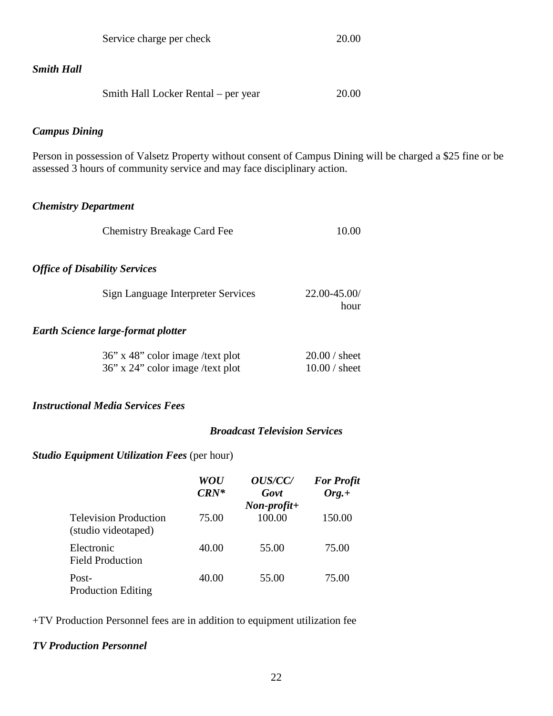| Service charge per check                                                                                                                                                               | 20.00                            |
|----------------------------------------------------------------------------------------------------------------------------------------------------------------------------------------|----------------------------------|
| <b>Smith Hall</b>                                                                                                                                                                      |                                  |
| Smith Hall Locker Rental – per year                                                                                                                                                    | 20.00                            |
| <b>Campus Dining</b>                                                                                                                                                                   |                                  |
| Person in possession of Valsetz Property without consent of Campus Dining will be charged a \$25 fine or be<br>assessed 3 hours of community service and may face disciplinary action. |                                  |
| <b>Chemistry Department</b>                                                                                                                                                            |                                  |
| <b>Chemistry Breakage Card Fee</b>                                                                                                                                                     | 10.00                            |
| <b>Office of Disability Services</b>                                                                                                                                                   |                                  |
| Sign Language Interpreter Services                                                                                                                                                     | 22.00-45.00/<br>hour             |
| <b>Earth Science large-format plotter</b>                                                                                                                                              |                                  |
| 36" x 48" color image /text plot<br>36" x 24" color image /text plot                                                                                                                   | $20.00/$ sheet<br>$10.00/$ sheet |
| <b>Instructional Media Services Fees</b>                                                                                                                                               |                                  |

# *Broadcast Television Services*

# *Studio Equipment Utilization Fees* (per hour)

|                                                     | WOU<br>$CRN^*$ | <i>OUS/CC/</i><br>Govt                | <b>For Profit</b><br>$Org.+$ |
|-----------------------------------------------------|----------------|---------------------------------------|------------------------------|
| <b>Television Production</b><br>(studio videotaped) | 75.00          | $Non\text{-}profit\text{+}$<br>100.00 | 150.00                       |
| Electronic<br><b>Field Production</b>               | 40.00          | 55.00                                 | 75.00                        |
| Post-<br><b>Production Editing</b>                  | 40.00          | 55.00                                 | 75.00                        |

+TV Production Personnel fees are in addition to equipment utilization fee

# *TV Production Personnel*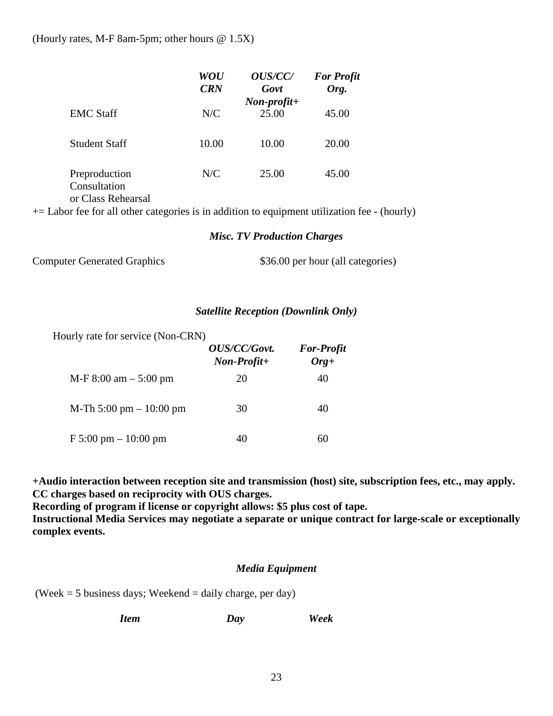(Hourly rates, M-F 8am-5pm; other hours @ 1.5X)

|                                                     | WOU<br><b>CRN</b> | <b>OUS/CC/</b><br>Govt               | <b>For Profit</b><br>Org. |
|-----------------------------------------------------|-------------------|--------------------------------------|---------------------------|
| <b>EMC</b> Staff                                    | N/C               | $Non\text{-}profit\text{+}$<br>25.00 | 45.00                     |
| Student Staff                                       | 10.00             | 10.00                                | 20.00                     |
| Preproduction<br>Consultation<br>or Class Rehearsal | N/C               | 25.00                                | 45.00                     |

 $+=$  Labor fee for all other categories is in addition to equipment utilization fee - (hourly)

#### *Misc. TV Production Charges*

Computer Generated Graphics  $$36.00$  per hour (all categories)

#### *Satellite Reception (Downlink Only)*

Hourly rate for service (Non-CRN)

|                                        | OUS/CC/Govt.<br>$Non-Profit+$ | <b>For-Profit</b><br>$Org+$ |
|----------------------------------------|-------------------------------|-----------------------------|
| $M-F 8:00$ am $- 5:00$ pm              | 20                            | 40                          |
| M-Th 5:00 pm $-10:00$ pm               | 30                            | 40                          |
| $F 5:00 \text{ pm} - 10:00 \text{ pm}$ | 40                            | 60                          |

**+Audio interaction between reception site and transmission (host) site, subscription fees, etc., may apply. CC charges based on reciprocity with OUS charges.**

**Recording of program if license or copyright allows: \$5 plus cost of tape. Instructional Media Services may negotiate a separate or unique contract for large-scale or exceptionally complex events.** 

#### *Media Equipment*

(Week  $=$  5 business days; Weekend  $=$  daily charge, per day)

*Item Day Week*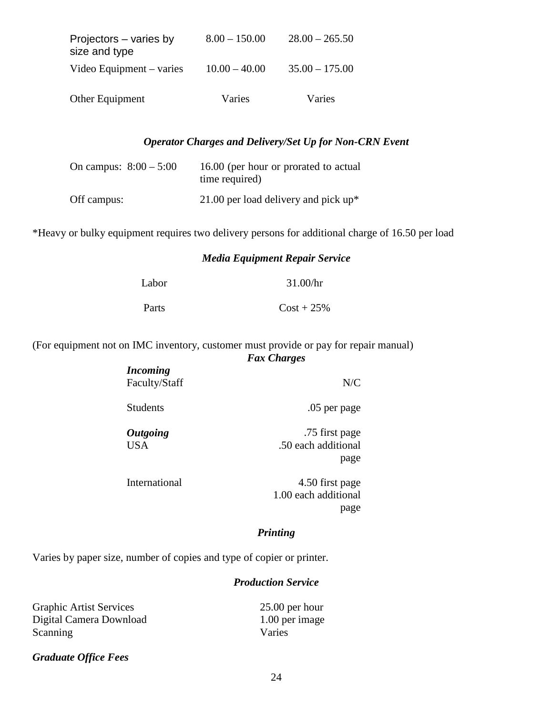| Other Equipment                         | Varies          | Varies           |
|-----------------------------------------|-----------------|------------------|
| Video Equipment – varies                | $10.00 - 40.00$ | $35.00 - 175.00$ |
| Projectors – varies by<br>size and type | $8.00 - 150.00$ | $28.00 - 265.50$ |

#### *Operator Charges and Delivery/Set Up for Non-CRN Event*

| On campus: $8:00 - 5:00$ | 16.00 (per hour or prorated to actual<br>time required) |
|--------------------------|---------------------------------------------------------|
| Off campus:              | 21.00 per load delivery and pick $up^*$                 |

\*Heavy or bulky equipment requires two delivery persons for additional charge of 16.50 per load

#### *Media Equipment Repair Service*

| Labor | 31.00/hr      |
|-------|---------------|
| Parts | $Cost + 25\%$ |

#### (For equipment not on IMC inventory, customer must provide or pay for repair manual) *Fax Charges*

| <i>Incoming</i><br>Faculty/Staff | N/C                                           |
|----------------------------------|-----------------------------------------------|
| <b>Students</b>                  | .05 per page                                  |
| <b>Outgoing</b><br><b>USA</b>    | .75 first page<br>.50 each additional<br>page |
| International                    | 4.50 first page                               |

1.00 each additional page

#### *Printing*

Varies by paper size, number of copies and type of copier or printer.

### *Production Service*

| <b>Graphic Artist Services</b> | $25.00$ per hour |
|--------------------------------|------------------|
| Digital Camera Download        | 1.00 per image   |
| Scanning                       | Varies           |

#### *Graduate Office Fees*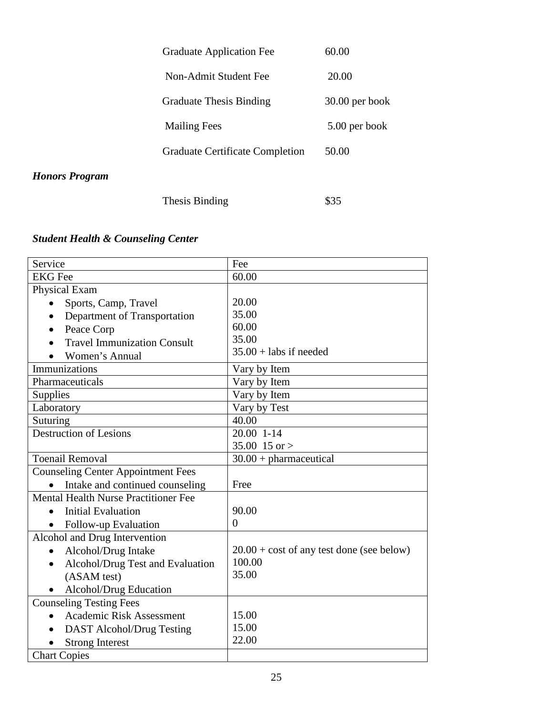| <b>Honors Program</b> |                                        |                  |
|-----------------------|----------------------------------------|------------------|
|                       | <b>Graduate Certificate Completion</b> | 50.00            |
|                       | <b>Mailing Fees</b>                    | 5.00 per book    |
|                       | <b>Graduate Thesis Binding</b>         | $30.00$ per book |
|                       | Non-Admit Student Fee                  | 20.00            |
|                       | <b>Graduate Application Fee</b>        | 60.00            |

Thesis Binding \$35

# *Student Health & Counseling Center*

| Service                                       | Fee                                                |
|-----------------------------------------------|----------------------------------------------------|
| <b>EKG</b> Fee                                | 60.00                                              |
| Physical Exam                                 |                                                    |
| Sports, Camp, Travel                          | 20.00                                              |
| Department of Transportation                  | 35.00                                              |
| Peace Corp                                    | 60.00                                              |
| <b>Travel Immunization Consult</b>            | 35.00                                              |
| Women's Annual                                | $35.00 +$ labs if needed                           |
| Immunizations                                 | Vary by Item                                       |
| Pharmaceuticals                               | Vary by Item                                       |
| Supplies                                      | Vary by Item                                       |
| Laboratory                                    | Vary by Test                                       |
| Suturing                                      | 40.00                                              |
| Destruction of Lesions                        | 20.00 1-14                                         |
|                                               | 35.00 15 or >                                      |
| <b>Toenail Removal</b>                        | $30.00 + \text{pharmaceutical}$                    |
| <b>Counseling Center Appointment Fees</b>     |                                                    |
| Intake and continued counseling               | Free                                               |
| Mental Health Nurse Practitioner Fee          |                                                    |
| <b>Initial Evaluation</b>                     | 90.00                                              |
| Follow-up Evaluation                          | $\theta$                                           |
| Alcohol and Drug Intervention                 |                                                    |
| Alcohol/Drug Intake<br>$\bullet$              | $20.00 + \text{cost of any test done (see below)}$ |
| Alcohol/Drug Test and Evaluation<br>$\bullet$ | 100.00                                             |
| (ASAM test)                                   | 35.00                                              |
| Alcohol/Drug Education                        |                                                    |
| <b>Counseling Testing Fees</b>                |                                                    |
| <b>Academic Risk Assessment</b><br>$\bullet$  | 15.00                                              |
| DAST Alcohol/Drug Testing                     | 15.00                                              |
| <b>Strong Interest</b>                        | 22.00                                              |
| <b>Chart Copies</b>                           |                                                    |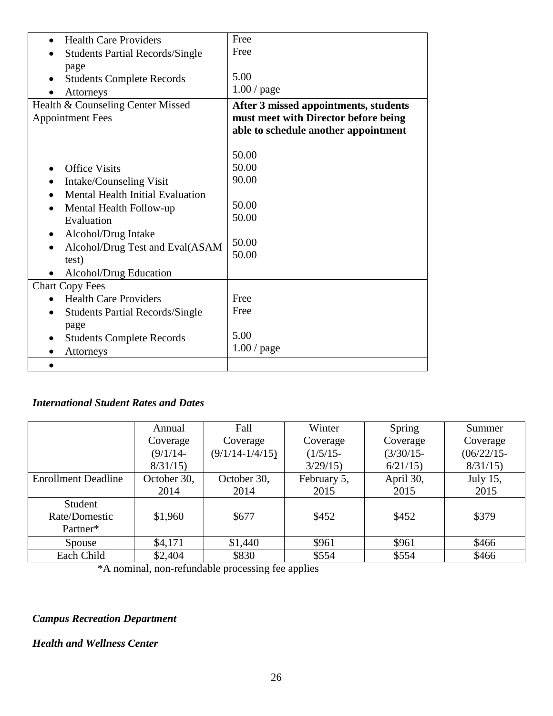| Free                                  |
|---------------------------------------|
| Free                                  |
|                                       |
| 5.00                                  |
| 1.00/page                             |
| After 3 missed appointments, students |
| must meet with Director before being  |
| able to schedule another appointment  |
|                                       |
| 50.00                                 |
| 50.00                                 |
| 90.00                                 |
|                                       |
| 50.00                                 |
| 50.00                                 |
|                                       |
| 50.00                                 |
| 50.00                                 |
|                                       |
|                                       |
| Free                                  |
| Free                                  |
|                                       |
| 5.00                                  |
| 1.00/page                             |
|                                       |
|                                       |

# *International Student Rates and Dates*

|                            | Annual      | Fall                | Winter      | Spring       | Summer        |
|----------------------------|-------------|---------------------|-------------|--------------|---------------|
|                            | Coverage    | Coverage            | Coverage    | Coverage     | Coverage      |
|                            | $(9/1/14 -$ | $(9/1/14 - 1/4/15)$ | $(1/5/15 -$ | $(3/30/15 -$ | $(06/22/15 -$ |
|                            | 8/31/15     |                     | 3/29/15     | 6/21/15      | 8/31/15       |
| <b>Enrollment Deadline</b> | October 30, | October 30,         | February 5, | April 30,    | July 15,      |
|                            | 2014        | 2014                | 2015        | 2015         | 2015          |
| Student                    |             |                     |             |              |               |
| Rate/Domestic              | \$1,960     | \$677               | \$452       | \$452        | \$379         |
| Partner*                   |             |                     |             |              |               |
| Spouse                     | \$4,171     | \$1,440             | \$961       | \$961        | \$466         |
| Each Child                 | \$2,404     | \$830               | \$554       | \$554        | \$466         |

\*A nominal, non-refundable processing fee applies

# *Campus Recreation Department*

## *Health and Wellness Center*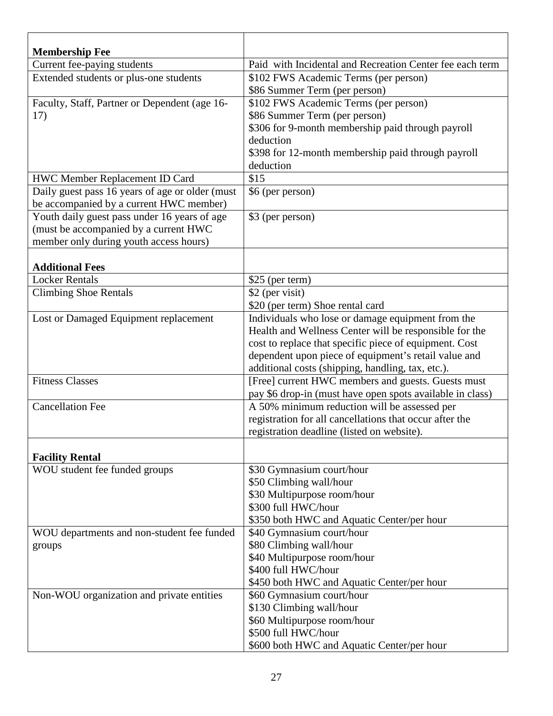| <b>Membership Fee</b>                           |                                                           |
|-------------------------------------------------|-----------------------------------------------------------|
| Current fee-paying students                     | Paid with Incidental and Recreation Center fee each term  |
| Extended students or plus-one students          | \$102 FWS Academic Terms (per person)                     |
|                                                 | \$86 Summer Term (per person)                             |
| Faculty, Staff, Partner or Dependent (age 16-   | \$102 FWS Academic Terms (per person)                     |
| 17)                                             | \$86 Summer Term (per person)                             |
|                                                 | \$306 for 9-month membership paid through payroll         |
|                                                 | deduction                                                 |
|                                                 | \$398 for 12-month membership paid through payroll        |
|                                                 | deduction                                                 |
| HWC Member Replacement ID Card                  | \$15                                                      |
| Daily guest pass 16 years of age or older (must | \$6 (per person)                                          |
| be accompanied by a current HWC member)         |                                                           |
| Youth daily guest pass under 16 years of age    | \$3 (per person)                                          |
| (must be accompanied by a current HWC           |                                                           |
| member only during youth access hours)          |                                                           |
|                                                 |                                                           |
| <b>Additional Fees</b>                          |                                                           |
| <b>Locker Rentals</b>                           | $$25$ (per term)                                          |
| <b>Climbing Shoe Rentals</b>                    | \$2 (per visit)                                           |
|                                                 | \$20 (per term) Shoe rental card                          |
| Lost or Damaged Equipment replacement           | Individuals who lose or damage equipment from the         |
|                                                 | Health and Wellness Center will be responsible for the    |
|                                                 | cost to replace that specific piece of equipment. Cost    |
|                                                 | dependent upon piece of equipment's retail value and      |
|                                                 | additional costs (shipping, handling, tax, etc.).         |
| <b>Fitness Classes</b>                          | [Free] current HWC members and guests. Guests must        |
|                                                 | pay \$6 drop-in (must have open spots available in class) |
| <b>Cancellation Fee</b>                         | A 50% minimum reduction will be assessed per              |
|                                                 | registration for all cancellations that occur after the   |
|                                                 | registration deadline (listed on website).                |
|                                                 |                                                           |
| <b>Facility Rental</b>                          |                                                           |
| WOU student fee funded groups                   | \$30 Gymnasium court/hour                                 |
|                                                 | \$50 Climbing wall/hour                                   |
|                                                 | \$30 Multipurpose room/hour                               |
|                                                 | \$300 full HWC/hour                                       |
|                                                 | \$350 both HWC and Aquatic Center/per hour                |
| WOU departments and non-student fee funded      | \$40 Gymnasium court/hour                                 |
| groups                                          | \$80 Climbing wall/hour                                   |
|                                                 | \$40 Multipurpose room/hour                               |
|                                                 | \$400 full HWC/hour                                       |
|                                                 | \$450 both HWC and Aquatic Center/per hour                |
| Non-WOU organization and private entities       | \$60 Gymnasium court/hour                                 |
|                                                 | \$130 Climbing wall/hour                                  |
|                                                 | \$60 Multipurpose room/hour                               |
|                                                 | \$500 full HWC/hour                                       |
|                                                 | \$600 both HWC and Aquatic Center/per hour                |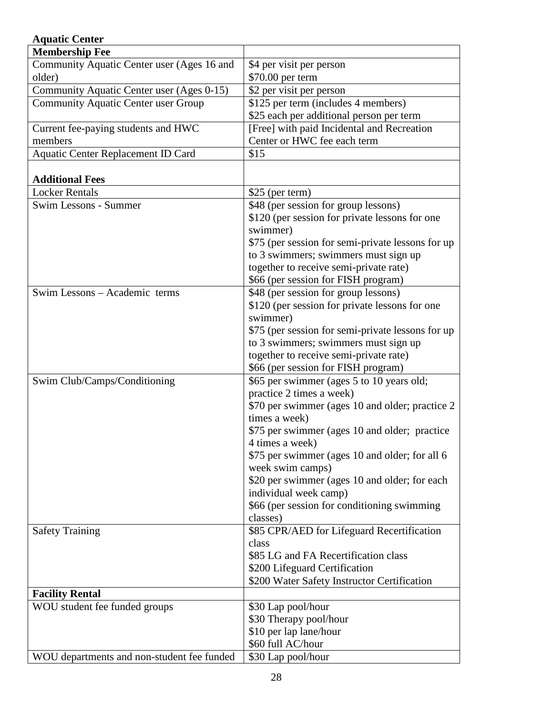| <b>Aquatic Center</b>                      |                                                   |
|--------------------------------------------|---------------------------------------------------|
| <b>Membership Fee</b>                      |                                                   |
| Community Aquatic Center user (Ages 16 and | \$4 per visit per person                          |
| older)                                     | \$70.00 per term                                  |
| Community Aquatic Center user (Ages 0-15)  | \$2 per visit per person                          |
| <b>Community Aquatic Center user Group</b> | \$125 per term (includes 4 members)               |
|                                            | \$25 each per additional person per term          |
| Current fee-paying students and HWC        | [Free] with paid Incidental and Recreation        |
| members                                    | Center or HWC fee each term                       |
| Aquatic Center Replacement ID Card         | \$15                                              |
|                                            |                                                   |
| <b>Additional Fees</b>                     |                                                   |
| <b>Locker Rentals</b>                      | \$25 (per term)                                   |
| Swim Lessons - Summer                      | \$48 (per session for group lessons)              |
|                                            | \$120 (per session for private lessons for one    |
|                                            | swimmer)                                          |
|                                            | \$75 (per session for semi-private lessons for up |
|                                            |                                                   |
|                                            | to 3 swimmers; swimmers must sign up              |
|                                            | together to receive semi-private rate)            |
|                                            | \$66 (per session for FISH program)               |
| Swim Lessons - Academic terms              | \$48 (per session for group lessons)              |
|                                            | \$120 (per session for private lessons for one    |
|                                            | swimmer)                                          |
|                                            | \$75 (per session for semi-private lessons for up |
|                                            | to 3 swimmers; swimmers must sign up              |
|                                            | together to receive semi-private rate)            |
|                                            | \$66 (per session for FISH program)               |
| Swim Club/Camps/Conditioning               | \$65 per swimmer (ages 5 to 10 years old;         |
|                                            | practice 2 times a week)                          |
|                                            | \$70 per swimmer (ages 10 and older; practice 2   |
|                                            | times a week)                                     |
|                                            | \$75 per swimmer (ages 10 and older; practice     |
|                                            | 4 times a week)                                   |
|                                            | \$75 per swimmer (ages 10 and older; for all 6    |
|                                            | week swim camps)                                  |
|                                            | \$20 per swimmer (ages 10 and older; for each     |
|                                            | individual week camp)                             |
|                                            | \$66 (per session for conditioning swimming       |
|                                            | classes)                                          |
| <b>Safety Training</b>                     | \$85 CPR/AED for Lifeguard Recertification        |
|                                            | class                                             |
|                                            | \$85 LG and FA Recertification class              |
|                                            | \$200 Lifeguard Certification                     |
|                                            | \$200 Water Safety Instructor Certification       |
| <b>Facility Rental</b>                     |                                                   |
| WOU student fee funded groups              | \$30 Lap pool/hour                                |
|                                            | \$30 Therapy pool/hour                            |
|                                            | \$10 per lap lane/hour                            |
|                                            | \$60 full AC/hour                                 |
| WOU departments and non-student fee funded | \$30 Lap pool/hour                                |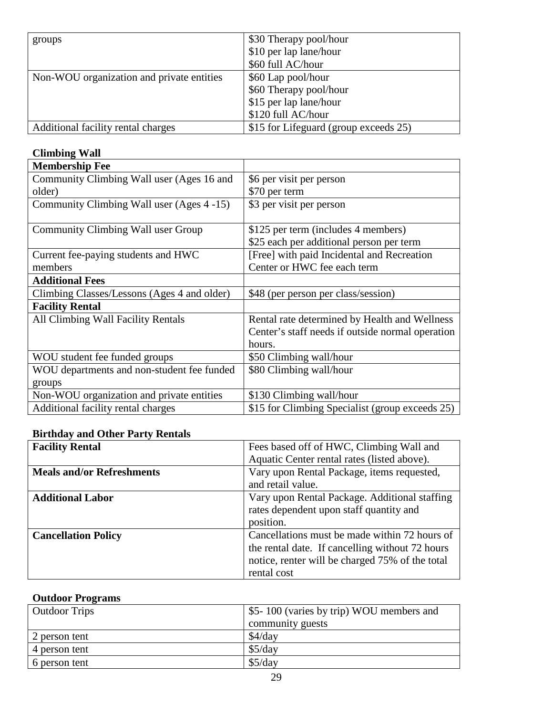| groups                                    | \$30 Therapy pool/hour                |
|-------------------------------------------|---------------------------------------|
|                                           | \$10 per lap lane/hour                |
|                                           | \$60 full AC/hour                     |
| Non-WOU organization and private entities | \$60 Lap pool/hour                    |
|                                           | \$60 Therapy pool/hour                |
|                                           | \$15 per lap lane/hour                |
|                                           | \$120 full AC/hour                    |
| Additional facility rental charges        | \$15 for Lifeguard (group exceeds 25) |

# **Climbing Wall**

| <b>Membership Fee</b>                       |                                                  |
|---------------------------------------------|--------------------------------------------------|
| Community Climbing Wall user (Ages 16 and   | \$6 per visit per person                         |
| older)                                      | \$70 per term                                    |
| Community Climbing Wall user (Ages 4 -15)   | \$3 per visit per person                         |
|                                             |                                                  |
| Community Climbing Wall user Group          | \$125 per term (includes 4 members)              |
|                                             | \$25 each per additional person per term         |
| Current fee-paying students and HWC         | [Free] with paid Incidental and Recreation       |
| members                                     | Center or HWC fee each term                      |
| <b>Additional Fees</b>                      |                                                  |
| Climbing Classes/Lessons (Ages 4 and older) | \$48 (per person per class/session)              |
| <b>Facility Rental</b>                      |                                                  |
| All Climbing Wall Facility Rentals          | Rental rate determined by Health and Wellness    |
|                                             | Center's staff needs if outside normal operation |
|                                             | hours.                                           |
| WOU student fee funded groups               | \$50 Climbing wall/hour                          |
| WOU departments and non-student fee funded  | \$80 Climbing wall/hour                          |
| groups                                      |                                                  |
| Non-WOU organization and private entities   | \$130 Climbing wall/hour                         |
| Additional facility rental charges          | \$15 for Climbing Specialist (group exceeds 25)  |

## **Birthday and Other Party Rentals**

| <b>Facility Rental</b>           | Fees based off of HWC, Climbing Wall and        |
|----------------------------------|-------------------------------------------------|
|                                  | Aquatic Center rental rates (listed above).     |
| <b>Meals and/or Refreshments</b> | Vary upon Rental Package, items requested,      |
|                                  | and retail value.                               |
| <b>Additional Labor</b>          | Vary upon Rental Package. Additional staffing   |
|                                  | rates dependent upon staff quantity and         |
|                                  | position.                                       |
| <b>Cancellation Policy</b>       | Cancellations must be made within 72 hours of   |
|                                  | the rental date. If cancelling without 72 hours |
|                                  | notice, renter will be charged 75% of the total |
|                                  | rental cost                                     |

# **Outdoor Programs**

| <b>Outdoor Trips</b> | \$5-100 (varies by trip) WOU members and |
|----------------------|------------------------------------------|
|                      | community guests                         |
| 2 person tent        | $$4$ /day                                |
| 4 person tent        | \$5/day                                  |
| 6 person tent        | \$5/day                                  |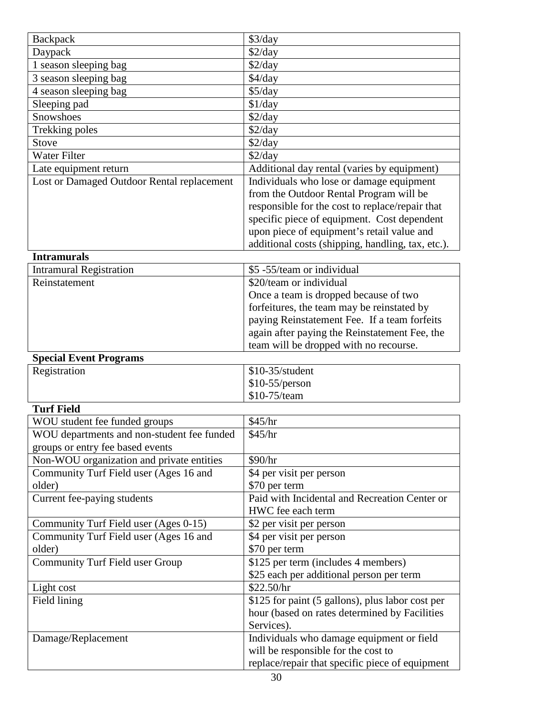| <b>Backpack</b>                            | \$3/day                                                                                                                                                                                                                                                                                                                            |
|--------------------------------------------|------------------------------------------------------------------------------------------------------------------------------------------------------------------------------------------------------------------------------------------------------------------------------------------------------------------------------------|
| Daypack                                    | \$2/day                                                                                                                                                                                                                                                                                                                            |
| 1 season sleeping bag                      | \$2/day                                                                                                                                                                                                                                                                                                                            |
| 3 season sleeping bag                      | $$4$ /day                                                                                                                                                                                                                                                                                                                          |
| 4 season sleeping bag                      | \$5/day                                                                                                                                                                                                                                                                                                                            |
| Sleeping pad                               | \$1/day                                                                                                                                                                                                                                                                                                                            |
| <b>Snowshoes</b>                           | \$2/day                                                                                                                                                                                                                                                                                                                            |
| Trekking poles                             | \$2/day                                                                                                                                                                                                                                                                                                                            |
| <b>Stove</b>                               | \$2/day                                                                                                                                                                                                                                                                                                                            |
| Water Filter                               | \$2/day                                                                                                                                                                                                                                                                                                                            |
| Late equipment return                      | Additional day rental (varies by equipment)                                                                                                                                                                                                                                                                                        |
| Lost or Damaged Outdoor Rental replacement | Individuals who lose or damage equipment                                                                                                                                                                                                                                                                                           |
|                                            | from the Outdoor Rental Program will be                                                                                                                                                                                                                                                                                            |
|                                            | responsible for the cost to replace/repair that                                                                                                                                                                                                                                                                                    |
|                                            | specific piece of equipment. Cost dependent                                                                                                                                                                                                                                                                                        |
|                                            | upon piece of equipment's retail value and                                                                                                                                                                                                                                                                                         |
|                                            | additional costs (shipping, handling, tax, etc.).                                                                                                                                                                                                                                                                                  |
| <b>Intramurals</b>                         |                                                                                                                                                                                                                                                                                                                                    |
| Intromyrel Decretration                    | $\mathbb{C}$ $\mathbb{C}$ $\mathbb{C}$ $\mathbb{C}$ $\mathbb{C}$ $\mathbb{C}$ $\mathbb{C}$ $\mathbb{C}$ $\mathbb{C}$ $\mathbb{C}$ $\mathbb{C}$ $\mathbb{C}$ $\mathbb{C}$ $\mathbb{C}$ $\mathbb{C}$ $\mathbb{C}$ $\mathbb{C}$ $\mathbb{C}$ $\mathbb{C}$ $\mathbb{C}$ $\mathbb{C}$ $\mathbb{C}$ $\mathbb{C}$ $\mathbb{C}$ $\mathbb{$ |

| <b>Intramural Registration</b> | \$5 -55/team or individual                    |  |
|--------------------------------|-----------------------------------------------|--|
| Reinstatement                  | \$20/team or individual                       |  |
|                                | Once a team is dropped because of two         |  |
|                                | forfeitures, the team may be reinstated by    |  |
|                                | paying Reinstatement Fee. If a team forfeits  |  |
|                                | again after paying the Reinstatement Fee, the |  |
|                                | team will be dropped with no recourse.        |  |
| <b>Condial Evant Dragrams</b>  |                                               |  |

\$10-75/team

| Special Event Programs |                              |
|------------------------|------------------------------|
| <b>Registration</b>    | $$10-35/student$             |
|                        | $\frac{1}{2}$ \$10-55/person |

# **Turf Field**

| WOU student fee funded groups              | \$45/hr                                          |
|--------------------------------------------|--------------------------------------------------|
| WOU departments and non-student fee funded | \$45/hr                                          |
| groups or entry fee based events           |                                                  |
| Non-WOU organization and private entities  | \$90/hr                                          |
| Community Turf Field user (Ages 16 and     | \$4 per visit per person                         |
| older)                                     | \$70 per term                                    |
| Current fee-paying students                | Paid with Incidental and Recreation Center or    |
|                                            | HWC fee each term                                |
| Community Turf Field user (Ages 0-15)      | \$2 per visit per person                         |
| Community Turf Field user (Ages 16 and     | \$4 per visit per person                         |
| older)                                     | \$70 per term                                    |
| <b>Community Turf Field user Group</b>     | \$125 per term (includes 4 members)              |
|                                            | \$25 each per additional person per term         |
| Light cost                                 | \$22.50/hr                                       |
| Field lining                               | \$125 for paint (5 gallons), plus labor cost per |
|                                            | hour (based on rates determined by Facilities    |
|                                            | Services).                                       |
| Damage/Replacement                         | Individuals who damage equipment or field        |
|                                            | will be responsible for the cost to              |
|                                            | replace/repair that specific piece of equipment  |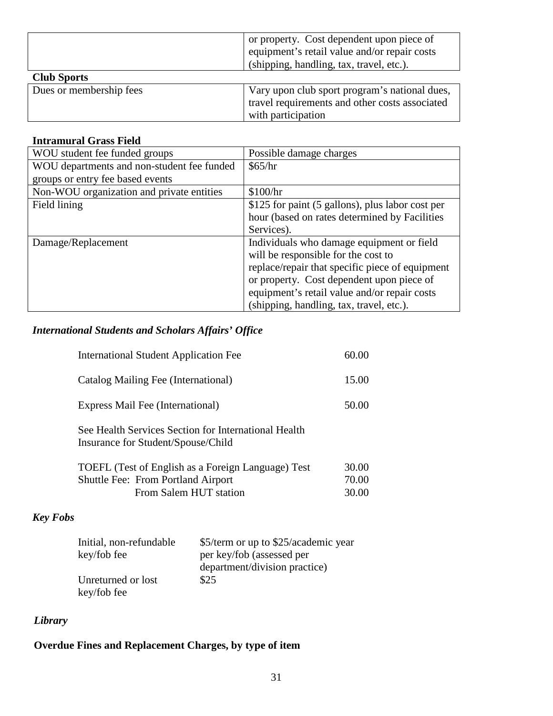|                         | or property. Cost dependent upon piece of      |
|-------------------------|------------------------------------------------|
|                         | equipment's retail value and/or repair costs   |
|                         | (shipping, handling, tax, travel, etc.).       |
| <b>Club Sports</b>      |                                                |
| Dues or membership fees | Vary upon club sport program's national dues,  |
|                         | travel requirements and other costs associated |
|                         | with participation                             |

#### **Intramural Grass Field**

| WOU student fee funded groups              | Possible damage charges                          |
|--------------------------------------------|--------------------------------------------------|
| WOU departments and non-student fee funded | \$65/hr                                          |
| groups or entry fee based events           |                                                  |
| Non-WOU organization and private entities  | \$100/hr                                         |
| Field lining                               | \$125 for paint (5 gallons), plus labor cost per |
|                                            | hour (based on rates determined by Facilities    |
|                                            | Services).                                       |
| Damage/Replacement                         | Individuals who damage equipment or field        |
|                                            | will be responsible for the cost to              |
|                                            | replace/repair that specific piece of equipment  |
|                                            | or property. Cost dependent upon piece of        |
|                                            | equipment's retail value and/or repair costs     |
|                                            | (shipping, handling, tax, travel, etc.).         |

## *International Students and Scholars Affairs' Office*

| <b>International Student Application Fee</b>                                                    | 60.00          |
|-------------------------------------------------------------------------------------------------|----------------|
| Catalog Mailing Fee (International)                                                             | 15.00          |
| Express Mail Fee (International)                                                                | 50.00          |
| See Health Services Section for International Health<br>Insurance for Student/Spouse/Child      |                |
| TOEFL (Test of English as a Foreign Language) Test<br><b>Shuttle Fee: From Portland Airport</b> | 30.00<br>70.00 |

## *Key Fobs*

| Initial, non-refundable | \$5/term or up to \$25/academic year |
|-------------------------|--------------------------------------|
| key/fob fee             | per key/fob (assessed per            |
|                         | department/division practice)        |
| Unreturned or lost      | \$25                                 |
| key/fob fee             |                                      |

## *Library*

## **Overdue Fines and Replacement Charges, by type of item**

From Salem HUT station

30.00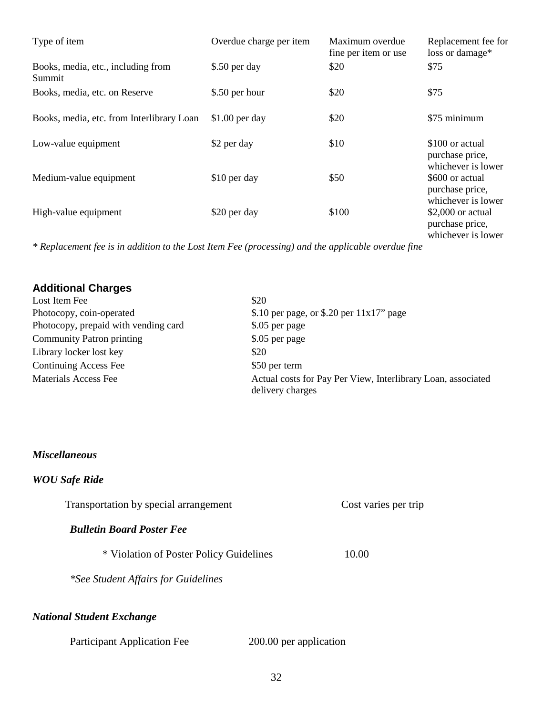| Type of item                                 | Overdue charge per item | Maximum overdue<br>fine per item or use | Replacement fee for<br>loss or damage*                      |
|----------------------------------------------|-------------------------|-----------------------------------------|-------------------------------------------------------------|
| Books, media, etc., including from<br>Summit | \$.50 per day           | \$20                                    | \$75                                                        |
| Books, media, etc. on Reserve                | \$.50 per hour          | \$20                                    | \$75                                                        |
| Books, media, etc. from Interlibrary Loan    | $$1.00$ per day         | \$20                                    | \$75 minimum                                                |
| Low-value equipment                          | \$2 per day             | \$10                                    | \$100 or actual<br>purchase price,<br>whichever is lower    |
| Medium-value equipment                       | \$10 per day            | \$50                                    | \$600 or actual<br>purchase price,<br>whichever is lower    |
| High-value equipment                         | \$20 per day            | \$100                                   | $$2,000$ or actual<br>purchase price,<br>whichever is lower |

*\* Replacement fee is in addition to the Lost Item Fee (processing) and the applicable overdue fine*

| <b>Additional Charges</b>            |                                                                                  |
|--------------------------------------|----------------------------------------------------------------------------------|
| Lost Item Fee                        | \$20                                                                             |
| Photocopy, coin-operated             | \$.10 per page, or \$.20 per $11x17$ " page                                      |
| Photocopy, prepaid with vending card | \$.05 per page                                                                   |
| <b>Community Patron printing</b>     | \$.05 per page                                                                   |
| Library locker lost key              | \$20                                                                             |
| Continuing Access Fee                | \$50 per term                                                                    |
| Materials Access Fee                 | Actual costs for Pay Per View, Interlibrary Loan, associated<br>delivery charges |

#### *Miscellaneous*

## *WOU Safe Ride*

| Transportation by special arrangement   | Cost varies per trip |
|-----------------------------------------|----------------------|
| <b>Bulletin Board Poster Fee</b>        |                      |
| * Violation of Poster Policy Guidelines | 10.00                |
| *See Student Affairs for Guidelines     |                      |
| <b>National Student Exchange</b>        |                      |

| <b>Participant Application Fee</b> | 200.00 per application |
|------------------------------------|------------------------|
|------------------------------------|------------------------|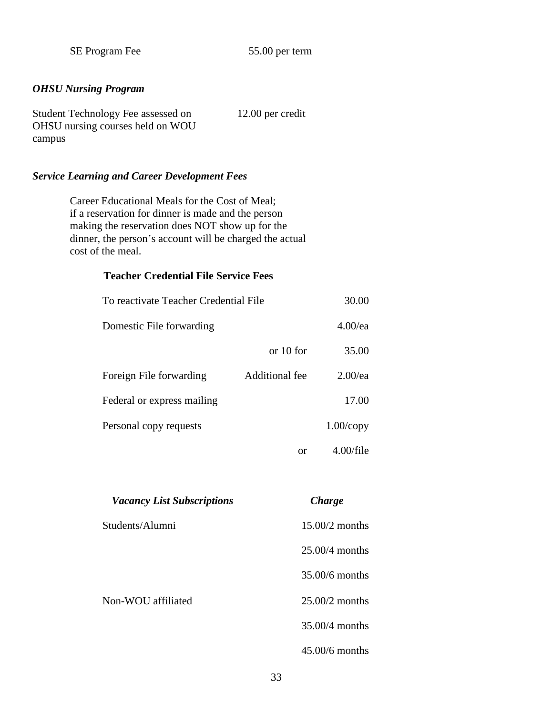SE Program Fee 55.00 per term

#### *OHSU Nursing Program*

| Student Technology Fee assessed on | $12.00$ per credit |
|------------------------------------|--------------------|
| OHSU nursing courses held on WOU   |                    |
| campus                             |                    |

## *Service Learning and Career Development Fees*

Career Educational Meals for the Cost of Meal; if a reservation for dinner is made and the person making the reservation does NOT show up for the dinner, the person's account will be charged the actual cost of the meal.

#### **Teacher Credential File Service Fees**

| To reactivate Teacher Credential File |                | 30.00        |
|---------------------------------------|----------------|--------------|
| Domestic File forwarding              |                | $4.00$ /ea   |
|                                       | or $10$ for    | 35.00        |
| Foreign File forwarding               | Additional fee | $2.00$ /ea   |
| Federal or express mailing            |                | 17.00        |
| Personal copy requests                |                | $1.00$ /copy |
|                                       | or             | $4.00$ /file |

| <b>Vacancy List Subscriptions</b> | <b>Charge</b>    |
|-----------------------------------|------------------|
| Students/Alumni                   | $15.00/2$ months |
|                                   | $25.00/4$ months |
|                                   | $35.00/6$ months |
| Non-WOU affiliated                | $25.00/2$ months |
|                                   | 35.00/4 months   |
|                                   | $45.00/6$ months |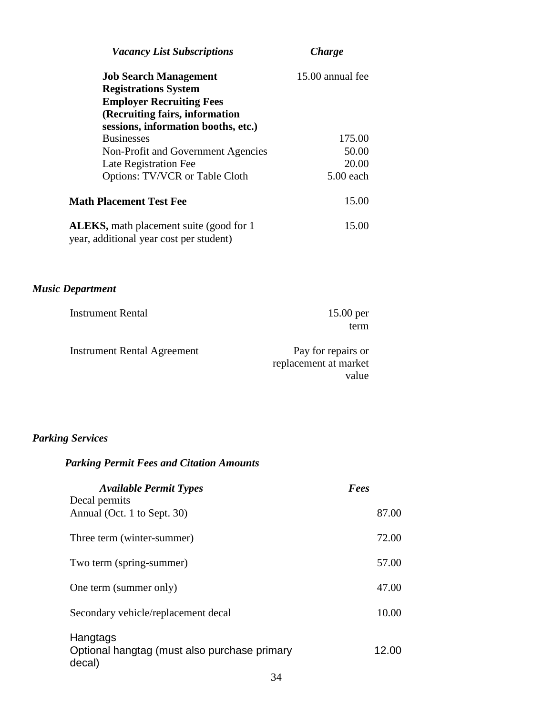| <b>Vacancy List Subscriptions</b>                                                           | <b>Charge</b>    |
|---------------------------------------------------------------------------------------------|------------------|
| <b>Job Search Management</b>                                                                | 15.00 annual fee |
| <b>Registrations System</b>                                                                 |                  |
| <b>Employer Recruiting Fees</b>                                                             |                  |
| (Recruiting fairs, information                                                              |                  |
| sessions, information booths, etc.)                                                         |                  |
| <b>Businesses</b>                                                                           | 175.00           |
| Non-Profit and Government Agencies                                                          | 50.00            |
| Late Registration Fee                                                                       | 20.00            |
| <b>Options: TV/VCR or Table Cloth</b>                                                       | $5.00$ each      |
| <b>Math Placement Test Fee</b>                                                              | 15.00            |
| <b>ALEKS</b> , math placement suite (good for 1)<br>year, additional year cost per student) | 15.00            |
|                                                                                             |                  |
|                                                                                             |                  |

# *Music Department*

| <b>Instrument Rental</b>           | $15.00$ per           |
|------------------------------------|-----------------------|
|                                    | term                  |
| <b>Instrument Rental Agreement</b> | Pay for repairs or    |
|                                    |                       |
|                                    | replacement at market |
|                                    | value                 |

## *Parking Services*

## *Parking Permit Fees and Citation Amounts*

| <b>Available Permit Types</b>                                      | Fees  |
|--------------------------------------------------------------------|-------|
| Decal permits<br>Annual (Oct. 1 to Sept. 30)                       | 87.00 |
| Three term (winter-summer)                                         | 72.00 |
| Two term (spring-summer)                                           | 57.00 |
| One term (summer only)                                             | 47.00 |
| Secondary vehicle/replacement decal                                | 10.00 |
| Hangtags<br>Optional hangtag (must also purchase primary<br>decal) | 12.00 |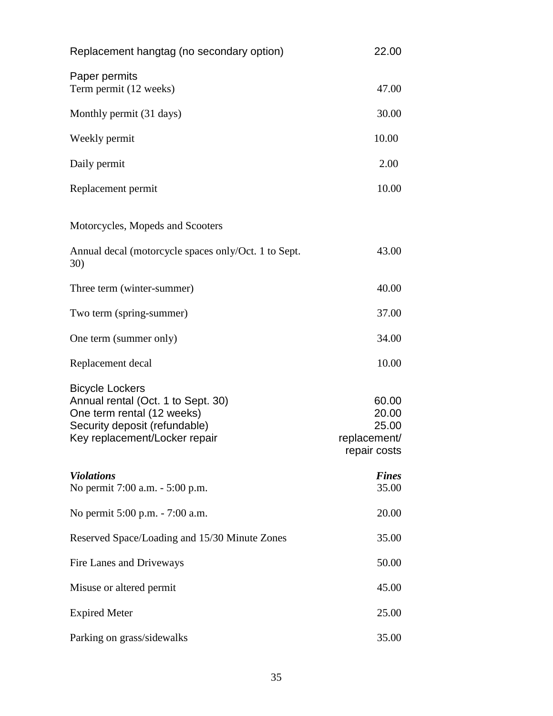| Replacement hangtag (no secondary option)                                                                                                                    | 22.00                                                   |
|--------------------------------------------------------------------------------------------------------------------------------------------------------------|---------------------------------------------------------|
| Paper permits<br>Term permit (12 weeks)                                                                                                                      | 47.00                                                   |
| Monthly permit (31 days)                                                                                                                                     | 30.00                                                   |
| Weekly permit                                                                                                                                                | 10.00                                                   |
| Daily permit                                                                                                                                                 | 2.00                                                    |
| Replacement permit                                                                                                                                           | 10.00                                                   |
| Motorcycles, Mopeds and Scooters                                                                                                                             |                                                         |
| Annual decal (motorcycle spaces only/Oct. 1 to Sept.<br>30)                                                                                                  | 43.00                                                   |
| Three term (winter-summer)                                                                                                                                   | 40.00                                                   |
| Two term (spring-summer)                                                                                                                                     | 37.00                                                   |
| One term (summer only)                                                                                                                                       | 34.00                                                   |
| Replacement decal                                                                                                                                            | 10.00                                                   |
| <b>Bicycle Lockers</b><br>Annual rental (Oct. 1 to Sept. 30)<br>One term rental (12 weeks)<br>Security deposit (refundable)<br>Key replacement/Locker repair | 60.00<br>20.00<br>25.00<br>replacement/<br>repair costs |
| <b>Violations</b><br>No permit 7:00 a.m. - 5:00 p.m.                                                                                                         | <b>Fines</b><br>35.00                                   |
| No permit 5:00 p.m. - 7:00 a.m.                                                                                                                              | 20.00                                                   |
| Reserved Space/Loading and 15/30 Minute Zones                                                                                                                | 35.00                                                   |
| Fire Lanes and Driveways                                                                                                                                     | 50.00                                                   |
| Misuse or altered permit                                                                                                                                     | 45.00                                                   |
| <b>Expired Meter</b>                                                                                                                                         | 25.00                                                   |
| Parking on grass/sidewalks                                                                                                                                   | 35.00                                                   |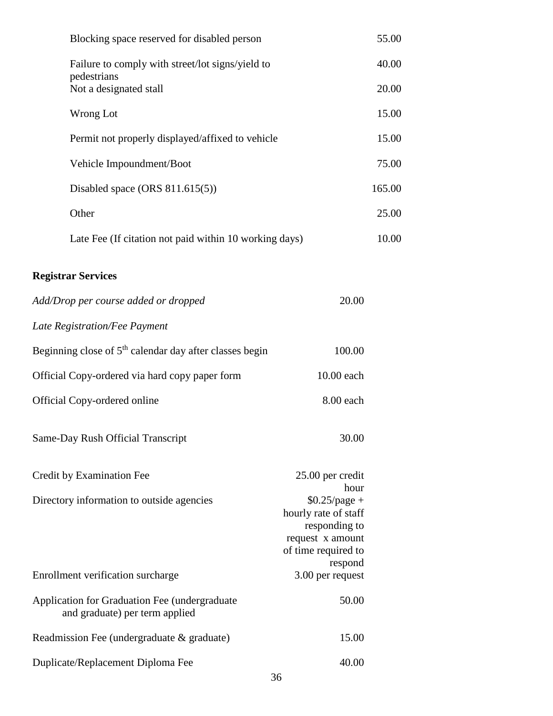| Blocking space reserved for disabled person                                     |                                                                                                                        | 55.00  |
|---------------------------------------------------------------------------------|------------------------------------------------------------------------------------------------------------------------|--------|
| Failure to comply with street/lot signs/yield to<br>pedestrians                 |                                                                                                                        | 40.00  |
| Not a designated stall                                                          |                                                                                                                        | 20.00  |
| Wrong Lot                                                                       |                                                                                                                        | 15.00  |
| Permit not properly displayed/affixed to vehicle                                |                                                                                                                        | 15.00  |
| Vehicle Impoundment/Boot                                                        |                                                                                                                        | 75.00  |
| Disabled space (ORS $811.615(5)$ )                                              |                                                                                                                        | 165.00 |
| Other                                                                           |                                                                                                                        | 25.00  |
| Late Fee (If citation not paid within 10 working days)                          |                                                                                                                        | 10.00  |
| <b>Registrar Services</b>                                                       |                                                                                                                        |        |
| Add/Drop per course added or dropped                                            | 20.00                                                                                                                  |        |
| Late Registration/Fee Payment                                                   |                                                                                                                        |        |
| Beginning close of 5 <sup>th</sup> calendar day after classes begin             | 100.00                                                                                                                 |        |
| Official Copy-ordered via hard copy paper form                                  | 10.00 each                                                                                                             |        |
| Official Copy-ordered online                                                    | 8.00 each                                                                                                              |        |
| Same-Day Rush Official Transcript                                               | 30.00                                                                                                                  |        |
| Credit by Examination Fee                                                       | 25.00 per credit                                                                                                       |        |
| Directory information to outside agencies                                       | hour<br>$$0.25$ /page +<br>hourly rate of staff<br>responding to<br>request x amount<br>of time required to<br>respond |        |
| Enrollment verification surcharge                                               | 3.00 per request                                                                                                       |        |
| Application for Graduation Fee (undergraduate<br>and graduate) per term applied | 50.00                                                                                                                  |        |
| Readmission Fee (undergraduate & graduate)                                      | 15.00                                                                                                                  |        |
| Duplicate/Replacement Diploma Fee                                               | 40.00                                                                                                                  |        |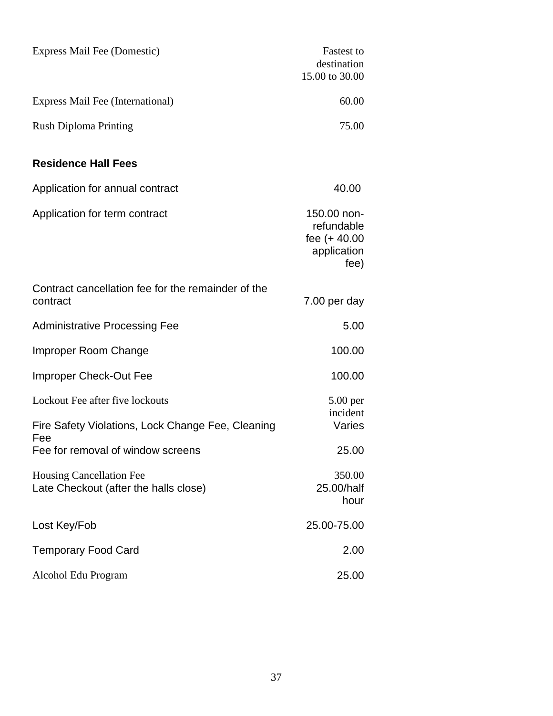| Express Mail Fee (Domestic)                                              | <b>Fastest to</b><br>destination<br>15.00 to 30.00                 |
|--------------------------------------------------------------------------|--------------------------------------------------------------------|
| Express Mail Fee (International)                                         | 60.00                                                              |
| <b>Rush Diploma Printing</b>                                             | 75.00                                                              |
| <b>Residence Hall Fees</b>                                               |                                                                    |
| Application for annual contract                                          | 40.00                                                              |
| Application for term contract                                            | 150.00 non-<br>refundable<br>fee $(+40.00)$<br>application<br>fee) |
| Contract cancellation fee for the remainder of the<br>contract           | 7.00 per day                                                       |
| <b>Administrative Processing Fee</b>                                     | 5.00                                                               |
| Improper Room Change                                                     | 100.00                                                             |
| Improper Check-Out Fee                                                   | 100.00                                                             |
| Lockout Fee after five lockouts                                          | $5.00$ per                                                         |
| Fire Safety Violations, Lock Change Fee, Cleaning                        | incident<br>Varies                                                 |
| Fee<br>Fee for removal of window screens                                 | 25.00                                                              |
| <b>Housing Cancellation Fee</b><br>Late Checkout (after the halls close) | 350.00<br>25.00/half<br>hour                                       |
| Lost Key/Fob                                                             | 25.00-75.00                                                        |
| <b>Temporary Food Card</b>                                               | 2.00                                                               |
| Alcohol Edu Program                                                      | 25.00                                                              |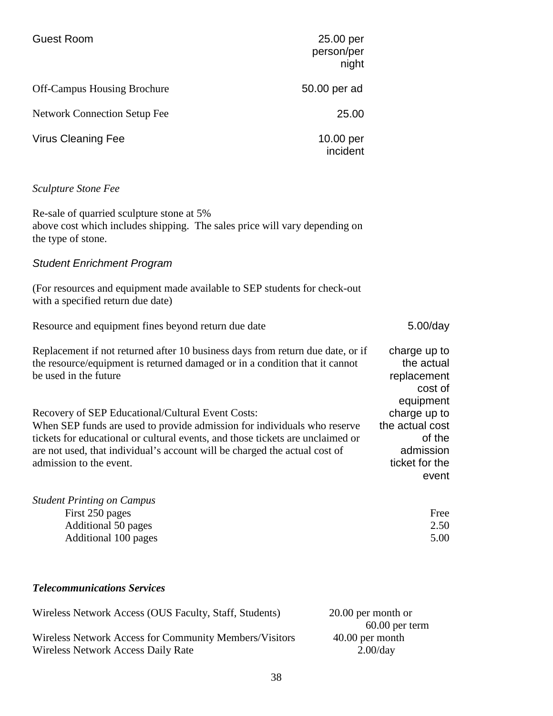| <b>Guest Room</b>                   | 25.00 per<br>person/per<br>night |
|-------------------------------------|----------------------------------|
| <b>Off-Campus Housing Brochure</b>  | 50.00 per ad                     |
| <b>Network Connection Setup Fee</b> | 25.00                            |
| <b>Virus Cleaning Fee</b>           | 10.00 per<br>incident            |

#### *Sculpture Stone Fee*

Re-sale of quarried sculpture stone at 5% above cost which includes shipping. The sales price will vary depending on the type of stone.

#### *Student Enrichment Program*

(For resources and equipment made available to SEP students for check-out with a specified return due date)

Resource and equipment fines beyond return due date 5.00/day Replacement if not returned after 10 business days from return due date, or if the resource/equipment is returned damaged or in a condition that it cannot be used in the future charge up to the actual replacement cost of equipment Recovery of SEP Educational/Cultural Event Costs: When SEP funds are used to provide admission for individuals who reserve tickets for educational or cultural events, and those tickets are unclaimed or are not used, that individual's account will be charged the actual cost of admission to the event. charge up to the actual cost of the admission ticket for the event *Student Printing on Campus*

| First 250 pages      | Free |
|----------------------|------|
| Additional 50 pages  | 2.50 |
| Additional 100 pages | 5.00 |

#### *Telecommunications Services*

| Wireless Network Access (OUS Faculty, Staff, Students) | 20.00 per month or |
|--------------------------------------------------------|--------------------|
|                                                        | $60.00$ per term   |
| Wireless Network Access for Community Members/Visitors | $40.00$ per month  |
| <b>Wireless Network Access Daily Rate</b>              | 2.00/dav           |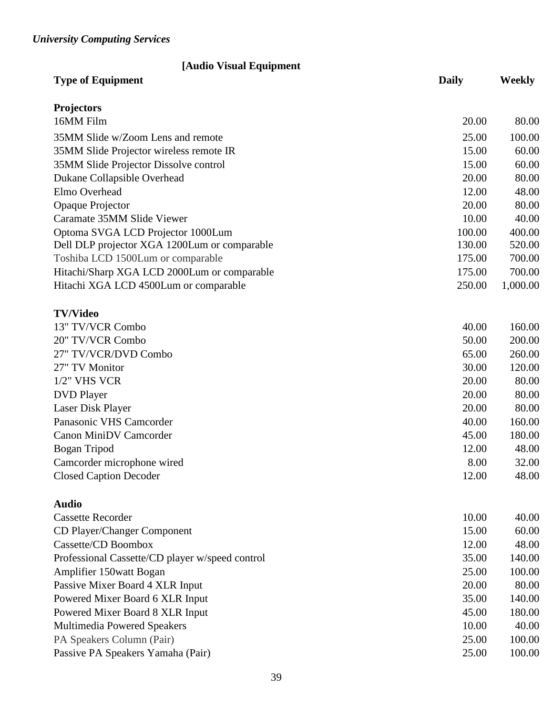# *University Computing Services*

| [Audio Visual Equipment<br><b>Type of Equipment</b> | <b>Daily</b> | <b>Weekly</b> |
|-----------------------------------------------------|--------------|---------------|
|                                                     |              |               |
| <b>Projectors</b>                                   |              |               |
| 16MM Film                                           | 20.00        | 80.00         |
| 35MM Slide w/Zoom Lens and remote                   | 25.00        | 100.00        |
| 35MM Slide Projector wireless remote IR             | 15.00        | 60.00         |
| 35MM Slide Projector Dissolve control               | 15.00        | 60.00         |
| Dukane Collapsible Overhead                         | 20.00        | 80.00         |
| Elmo Overhead                                       | 12.00        | 48.00         |
| Opaque Projector                                    | 20.00        | 80.00         |
| Caramate 35MM Slide Viewer                          | 10.00        | 40.00         |
| Optoma SVGA LCD Projector 1000Lum                   | 100.00       | 400.00        |
| Dell DLP projector XGA 1200Lum or comparable        | 130.00       | 520.00        |
| Toshiba LCD 1500Lum or comparable                   | 175.00       | 700.00        |
| Hitachi/Sharp XGA LCD 2000Lum or comparable         | 175.00       | 700.00        |
| Hitachi XGA LCD 4500Lum or comparable               | 250.00       | 1,000.00      |
| <b>TV/Video</b>                                     |              |               |
| 13" TV/VCR Combo                                    | 40.00        | 160.00        |
| 20" TV/VCR Combo                                    | 50.00        | 200.00        |
| 27" TV/VCR/DVD Combo                                | 65.00        | 260.00        |
| 27" TV Monitor                                      | 30.00        | 120.00        |
| $1/2$ " VHS VCR                                     | 20.00        | 80.00         |
| <b>DVD</b> Player                                   | 20.00        | 80.00         |
| Laser Disk Player                                   | 20.00        | 80.00         |
| Panasonic VHS Camcorder                             | 40.00        | 160.00        |
| <b>Canon MiniDV Camcorder</b>                       | 45.00        | 180.00        |
| Bogan Tripod                                        | 12.00        | 48.00         |
| Camcorder microphone wired                          | 8.00         | 32.00         |
| <b>Closed Caption Decoder</b>                       | 12.00        | 48.00         |
| <b>Audio</b>                                        |              |               |
| <b>Cassette Recorder</b>                            | 10.00        | 40.00         |
| CD Player/Changer Component                         | 15.00        | 60.00         |
| Cassette/CD Boombox                                 | 12.00        | 48.00         |
| Professional Cassette/CD player w/speed control     | 35.00        | 140.00        |
| Amplifier 150 watt Bogan                            | 25.00        | 100.00        |

|       | 100.00 |
|-------|--------|
| 20.00 | 80.00  |
| 35.00 | 140.00 |
| 45.00 | 180.00 |
| 10.00 | 40.00  |
| 25.00 | 100.00 |
| 25.00 | 100.00 |
|       | 25.00  |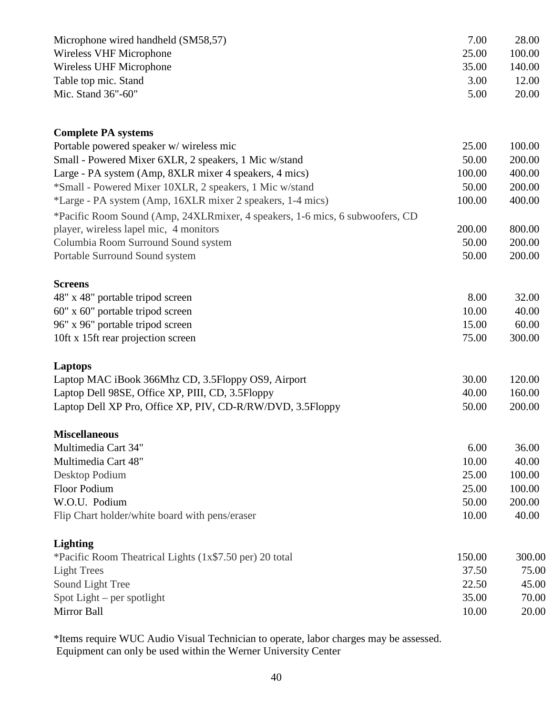| Microphone wired handheld (SM58,57)<br>7.00 | 28.00  |
|---------------------------------------------|--------|
| 25.00<br>Wireless VHF Microphone            | 100.00 |
| Wireless UHF Microphone<br>35.00            | 140.00 |
| 3.00<br>Table top mic. Stand                | 12.00  |
| 5.00<br>Mic. Stand $36" - 60"$              | 20.00  |

| <b>Complete PA systems</b>                                                   |        |        |
|------------------------------------------------------------------------------|--------|--------|
| Portable powered speaker w/ wireless mic                                     | 25.00  | 100.00 |
| Small - Powered Mixer 6XLR, 2 speakers, 1 Mic w/stand                        | 50.00  | 200.00 |
| Large - PA system (Amp, 8XLR mixer 4 speakers, 4 mics)                       | 100.00 | 400.00 |
| *Small - Powered Mixer 10XLR, 2 speakers, 1 Mic w/stand                      | 50.00  | 200.00 |
| *Large - PA system (Amp, 16XLR mixer 2 speakers, 1-4 mics)                   | 100.00 | 400.00 |
| *Pacific Room Sound (Amp, 24XLRmixer, 4 speakers, 1-6 mics, 6 subwoofers, CD |        |        |
| player, wireless lapel mic, 4 monitors                                       | 200.00 | 800.00 |
| Columbia Room Surround Sound system                                          | 50.00  | 200.00 |
| Portable Surround Sound system                                               | 50.00  | 200.00 |
| <b>Screens</b>                                                               |        |        |
| 48" x 48" portable tripod screen                                             | 8.00   | 32.00  |
| 60" x 60" portable tripod screen                                             | 10.00  | 40.00  |
| 96" x 96" portable tripod screen                                             | 15.00  | 60.00  |
| 10ft x 15ft rear projection screen                                           | 75.00  | 300.00 |
| <b>Laptops</b>                                                               |        |        |
| Laptop MAC iBook 366Mhz CD, 3.5Floppy OS9, Airport                           | 30.00  | 120.00 |
| Laptop Dell 98SE, Office XP, PIII, CD, 3.5Floppy                             | 40.00  | 160.00 |
| Laptop Dell XP Pro, Office XP, PIV, CD-R/RW/DVD, 3.5Floppy                   | 50.00  | 200.00 |
| <b>Miscellaneous</b>                                                         |        |        |
| Multimedia Cart 34"                                                          | 6.00   | 36.00  |
| Multimedia Cart 48"                                                          | 10.00  | 40.00  |
| Desktop Podium                                                               | 25.00  | 100.00 |
| <b>Floor Podium</b>                                                          | 25.00  | 100.00 |
| W.O.U. Podium                                                                | 50.00  | 200.00 |
| Flip Chart holder/white board with pens/eraser                               | 10.00  | 40.00  |
| <b>Lighting</b>                                                              |        |        |
| *Pacific Room Theatrical Lights (1x\$7.50 per) 20 total                      | 150.00 | 300.00 |
| <b>Light Trees</b>                                                           | 37.50  | 75.00  |
| Sound Light Tree                                                             | 22.50  | 45.00  |
| Spot Light $-$ per spotlight                                                 | 35.00  | 70.00  |
| Mirror Ball                                                                  | 10.00  | 20.00  |

\*Items require WUC Audio Visual Technician to operate, labor charges may be assessed. Equipment can only be used within the Werner University Center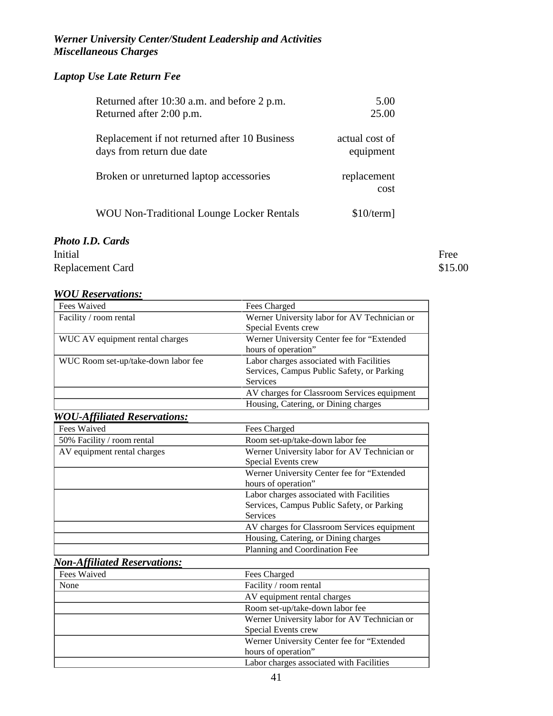## *Werner University Center/Student Leadership and Activities Miscellaneous Charges*

## *Laptop Use Late Return Fee*

| Returned after 10:30 a.m. and before 2 p.m.                                | 5.00                        |
|----------------------------------------------------------------------------|-----------------------------|
| Returned after 2:00 p.m.                                                   | 25.00                       |
| Replacement if not returned after 10 Business<br>days from return due date | actual cost of<br>equipment |
| Broken or unreturned laptop accessories                                    | replacement<br>cost         |
| <b>WOU Non-Traditional Lounge Locker Rentals</b>                           | \$10/term]                  |

## *Photo I.D. Cards*

Initial Free Replacement Card \$15.00

#### *WOU Reservations:*

| Fees Waived                         | Fees Charged                                 |  |
|-------------------------------------|----------------------------------------------|--|
| Facility / room rental              | Werner University labor for AV Technician or |  |
|                                     | Special Events crew                          |  |
| WUC AV equipment rental charges     | Werner University Center fee for "Extended   |  |
|                                     | hours of operation"                          |  |
| WUC Room set-up/take-down labor fee | Labor charges associated with Facilities     |  |
|                                     | Services, Campus Public Safety, or Parking   |  |
|                                     | <b>Services</b>                              |  |
|                                     | AV charges for Classroom Services equipment  |  |
|                                     | Housing, Catering, or Dining charges         |  |

#### *WOU-Affiliated Reservations:*

| Fees Waived                 | Fees Charged                                 |  |
|-----------------------------|----------------------------------------------|--|
| 50% Facility / room rental  | Room set-up/take-down labor fee              |  |
| AV equipment rental charges | Werner University labor for AV Technician or |  |
|                             | Special Events crew                          |  |
|                             | Werner University Center fee for "Extended   |  |
|                             | hours of operation"                          |  |
|                             | Labor charges associated with Facilities     |  |
|                             | Services, Campus Public Safety, or Parking   |  |
|                             | <b>Services</b>                              |  |
|                             | AV charges for Classroom Services equipment  |  |
|                             | Housing, Catering, or Dining charges         |  |
|                             | Planning and Coordination Fee                |  |

# *Non-Affiliated Reservations:*

| Fees Waived | Fees Charged                                 |
|-------------|----------------------------------------------|
| None        | Facility / room rental                       |
|             | AV equipment rental charges                  |
|             | Room set-up/take-down labor fee              |
|             | Werner University labor for AV Technician or |
|             | Special Events crew                          |
|             | Werner University Center fee for "Extended   |
|             | hours of operation"                          |
|             | Labor charges associated with Facilities     |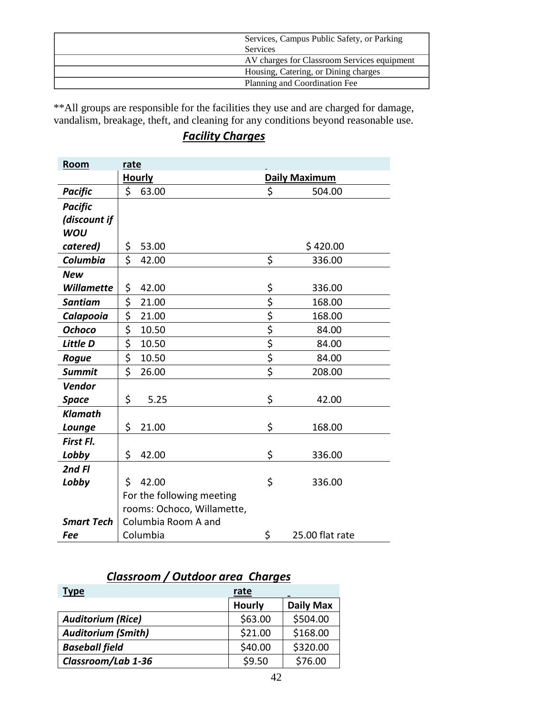| Services, Campus Public Safety, or Parking  |
|---------------------------------------------|
| <b>Services</b>                             |
| AV charges for Classroom Services equipment |
| Housing, Catering, or Dining charges        |
| Planning and Coordination Fee               |

\*\*All groups are responsible for the facilities they use and are charged for damage, vandalism, breakage, theft, and cleaning for any conditions beyond reasonable use.

# *Facility Charges*

| Room<br>rate      |                            |                                 |                      |  |
|-------------------|----------------------------|---------------------------------|----------------------|--|
|                   | <b>Hourly</b>              |                                 | <b>Daily Maximum</b> |  |
| <b>Pacific</b>    | \$<br>63.00                | \$                              | 504.00               |  |
| <b>Pacific</b>    |                            |                                 |                      |  |
| (discount if      |                            |                                 |                      |  |
| <b>WOU</b>        |                            |                                 |                      |  |
| catered)          | \$<br>53.00                |                                 | \$420.00             |  |
| Columbia          | \$<br>42.00                | \$                              | 336.00               |  |
| New               |                            |                                 |                      |  |
| <b>Willamette</b> | \$<br>42.00                | <u>\$</u>                       | 336.00               |  |
| <b>Santiam</b>    | \$<br>21.00                | $\overline{\xi}$                | 168.00               |  |
| Calapooia         | \$<br>21.00                | $\overline{\xi}$                | 168.00               |  |
| <b>Ochoco</b>     | \$<br>10.50                | $\overline{\xi}$                | 84.00                |  |
| Little D          | \$<br>10.50                | $\overline{\boldsymbol{\zeta}}$ | 84.00                |  |
| Rogue             | \$<br>10.50                | \$                              | 84.00                |  |
| <b>Summit</b>     | \$<br>26.00                | $\overline{\xi}$                | 208.00               |  |
| <b>Vendor</b>     |                            |                                 |                      |  |
| Space             | \$<br>5.25                 | \$                              | 42.00                |  |
| <b>Klamath</b>    |                            |                                 |                      |  |
| Lounge            | \$<br>21.00                | \$                              | 168.00               |  |
| First Fl.         |                            |                                 |                      |  |
| Lobby             | \$<br>42.00                | \$                              | 336.00               |  |
| 2nd Fl            |                            |                                 |                      |  |
| Lobby             | \$<br>42.00                | \$                              | 336.00               |  |
|                   | For the following meeting  |                                 |                      |  |
|                   | rooms: Ochoco, Willamette, |                                 |                      |  |
| <b>Smart Tech</b> | Columbia Room A and        |                                 |                      |  |
| Fee               | Columbia                   | \$                              | 25.00 flat rate      |  |

# *Classroom / Outdoor area Charges*

| <b>Type</b>               | <u>rate</u><br>- |                  |  |
|---------------------------|------------------|------------------|--|
|                           | <b>Hourly</b>    | <b>Daily Max</b> |  |
| <b>Auditorium (Rice)</b>  | \$63.00          | \$504.00         |  |
| <b>Auditorium (Smith)</b> | \$21.00          | \$168.00         |  |
| <b>Baseball field</b>     | \$40.00          | \$320.00         |  |
| Classroom/Lab 1-36        | \$9.50           | \$76.00          |  |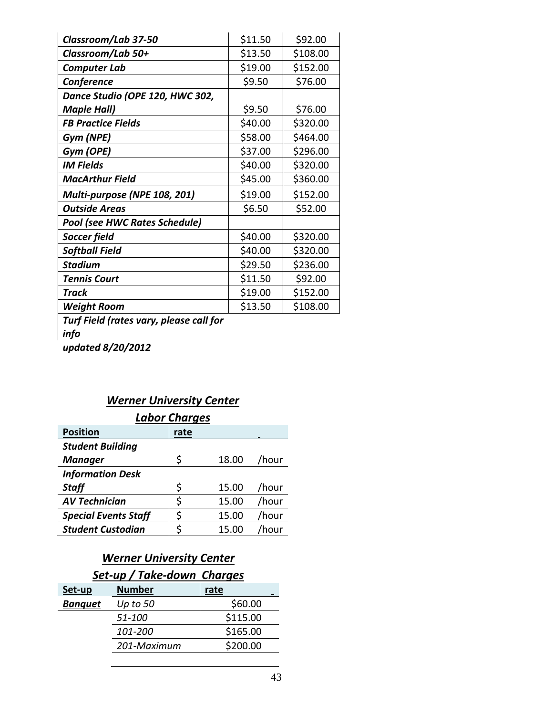| Classroom/Lab 37-50                     | \$11.50 | \$92.00  |
|-----------------------------------------|---------|----------|
| Classroom/Lab 50+                       | \$13.50 | \$108.00 |
| <b>Computer Lab</b>                     | \$19.00 | \$152.00 |
| Conference                              | \$9.50  | \$76.00  |
| Dance Studio (OPE 120, HWC 302,         |         |          |
| <b>Maple Hall)</b>                      | \$9.50  | \$76.00  |
| <b>FB Practice Fields</b>               | \$40.00 | \$320.00 |
| Gym (NPE)                               | \$58.00 | \$464.00 |
| Gym (OPE)                               | \$37.00 | \$296.00 |
| <b>IM Fields</b>                        | \$40.00 | \$320.00 |
| <b>MacArthur Field</b>                  | \$45.00 | \$360.00 |
| Multi-purpose (NPE 108, 201)            | \$19.00 | \$152.00 |
| <b>Outside Areas</b>                    | \$6.50  | \$52.00  |
| <b>Pool (see HWC Rates Schedule)</b>    |         |          |
| <b>Soccer field</b>                     | \$40.00 | \$320.00 |
| <b>Softball Field</b>                   | \$40.00 | \$320.00 |
| <b>Stadium</b>                          | \$29.50 | \$236.00 |
| <b>Tennis Court</b>                     | \$11.50 | \$92.00  |
| <b>Track</b>                            | \$19.00 | \$152.00 |
| <b>Weight Room</b>                      | \$13.50 | \$108.00 |
| Turf Fiold Iratos yary, planca call for |         |          |

*Turf Field (rates vary, please call for info updated 8/20/2012*

# *Werner University Center*

| <b>Labor Charges</b>        |      |       |             |  |
|-----------------------------|------|-------|-------------|--|
| <b>Position</b>             | rate |       |             |  |
| <b>Student Building</b>     |      |       |             |  |
| <b>Manager</b>              | \$   | 18.00 | /hour       |  |
| <b>Information Desk</b>     |      |       |             |  |
| <b>Staff</b>                | \$   | 15.00 | /hour       |  |
| <b>AV Technician</b>        | \$   | 15.00 | /hour       |  |
| <b>Special Events Staff</b> | \$   | 15.00 | /hour       |  |
| <b>Student Custodian</b>    |      | 15.00 | <b>hour</b> |  |

# *Werner University Center*

# *Set-up / Take-down Charges*

| Set-up         | <b>Number</b> | rate     |
|----------------|---------------|----------|
| <b>Banquet</b> | Up to 50      | \$60.00  |
|                | 51-100        | \$115.00 |
|                | 101-200       | \$165.00 |
|                | 201-Maximum   | \$200.00 |
|                |               |          |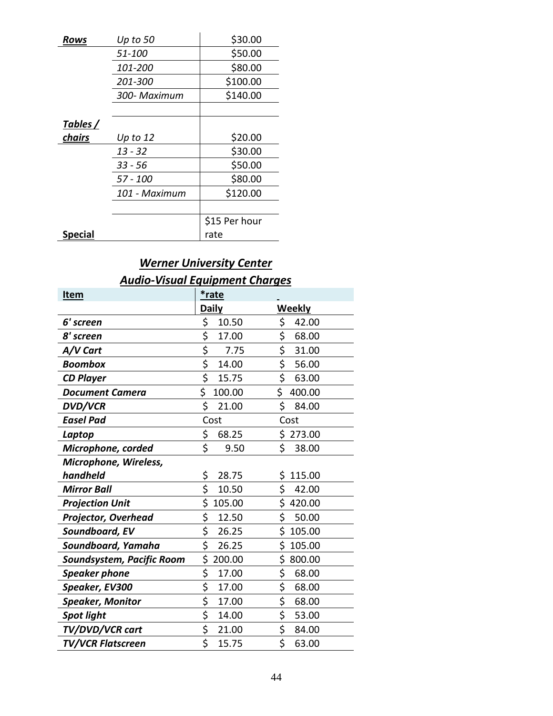| Rows     | Up to 50       | \$30.00       |
|----------|----------------|---------------|
|          | <i>51-100</i>  | \$50.00       |
|          | 101-200        | \$80.00       |
|          | <i>201-300</i> | \$100.00      |
|          | 300- Maximum   | \$140.00      |
|          |                |               |
| Tables / |                |               |
| chairs   | Up to $12$     | \$20.00       |
|          | 13 - 32        | \$30.00       |
|          | $33 - 56$      | \$50.00       |
|          | 57 - 100       | \$80.00       |
|          | 101 - Maximum  | \$120.00      |
|          |                |               |
|          |                | \$15 Per hour |
| Special  |                | rate          |

l.

# *Werner University Center Audio-Visual Equipment Charges*

| <b>Item</b>                | *rate                                        |                           |
|----------------------------|----------------------------------------------|---------------------------|
|                            | <b>Daily</b>                                 | <b>Weekly</b>             |
| 6' screen                  | \$<br>10.50                                  | \$<br>42.00               |
| 8' screen                  | \$<br>17.00                                  | \$<br>68.00               |
| A/V Cart                   | \$<br>7.75                                   | \$<br>31.00               |
| <b>Boombox</b>             | \$<br>14.00                                  | \$<br>56.00               |
| <b>CD Player</b>           | $\overline{\boldsymbol{\varsigma}}$<br>15.75 | $\overline{\xi}$<br>63.00 |
| <b>Document Camera</b>     | \$<br>100.00                                 | \$<br>400.00              |
| <b>DVD/VCR</b>             | \$<br>21.00                                  | \$<br>84.00               |
| <b>Easel Pad</b>           | Cost                                         | Cost                      |
| Laptop                     | \$<br>68.25                                  | \$<br>273.00              |
| Microphone, corded         | \$<br>9.50                                   | \$<br>38.00               |
| Microphone, Wireless,      |                                              |                           |
| handheld                   | \$<br>28.75                                  | \$<br>115.00              |
| <b>Mirror Ball</b>         | \$<br>10.50                                  | \$<br>42.00               |
| <b>Projection Unit</b>     | \$<br>105.00                                 | \$<br>420.00              |
| <b>Projector, Overhead</b> | \$<br>12.50                                  | \$<br>50.00               |
| Soundboard, EV             | \$<br>26.25                                  | \$<br>105.00              |
| Soundboard, Yamaha         | \$<br>26.25                                  | \$<br>105.00              |
| Soundsystem, Pacific Room  | \$<br>200.00                                 | \$<br>800.00              |
| <b>Speaker phone</b>       | \$<br>17.00                                  | \$<br>68.00               |
| Speaker, EV300             | \$<br>17.00                                  | \$<br>68.00               |
| Speaker, Monitor           | \$<br>17.00                                  | \$<br>68.00               |
| <b>Spot light</b>          | \$<br>14.00                                  | \$<br>53.00               |
| TV/DVD/VCR cart            | \$<br>21.00                                  | \$<br>84.00               |
| <b>TV/VCR Flatscreen</b>   | \$<br>15.75                                  | \$<br>63.00               |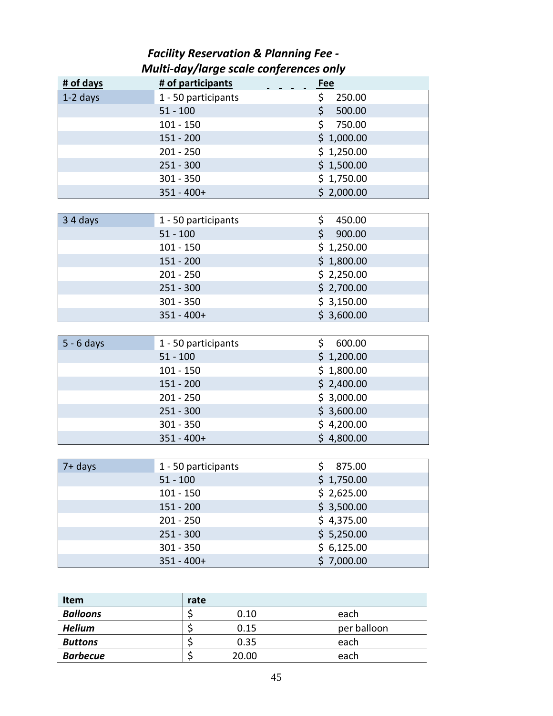# *Facility Reservation & Planning Fee - Multi-day/large scale conferences only*

| # of days    | # of participants   | Fee           |
|--------------|---------------------|---------------|
| $1-2$ days   | 1 - 50 participants | 250.00<br>\$. |
|              | $51 - 100$          | \$<br>500.00  |
|              | $101 - 150$         | \$<br>750.00  |
|              | $151 - 200$         | \$1,000.00    |
|              | $201 - 250$         | \$1,250.00    |
|              | $251 - 300$         | \$1,500.00    |
|              | $301 - 350$         | \$1,750.00    |
|              | $351 - 400+$        | \$2,000.00    |
|              |                     |               |
| 34 days      | 1 - 50 participants | \$<br>450.00  |
|              | $51 - 100$          | \$<br>900.00  |
|              | $101 - 150$         | \$1,250.00    |
|              | $151 - 200$         | \$1,800.00    |
|              | $201 - 250$         | \$2,250.00    |
|              | $251 - 300$         | \$2,700.00    |
|              | $301 - 350$         | \$3,150.00    |
|              | $351 - 400+$        | \$3,600.00    |
|              |                     |               |
| $5 - 6$ days | 1 - 50 participants | \$<br>600.00  |
|              | $51 - 100$          | \$1,200.00    |
|              | $101 - 150$         | \$1,800.00    |
|              | $151 - 200$         | \$2,400.00    |
|              | $201 - 250$         | \$3,000.00    |
|              | $251 - 300$         | \$3,600.00    |
|              | $301 - 350$         | \$4,200.00    |
|              | $351 - 400+$        | \$4,800.00    |
|              |                     |               |
| $7+$ days    | 1 - 50 participants | \$<br>875.00  |
|              | $51 - 100$          | \$1,750.00    |
|              | $101 - 150$         | \$2,625.00    |
|              | $151 - 200$         | \$3,500.00    |
|              | $201 - 250$         | \$4,375.00    |
|              | $251 - 300$         | \$5,250.00    |
|              | $301 - 350$         | \$6,125.00    |
|              | $351 - 400+$        | \$7,000.00    |
|              |                     |               |
|              |                     |               |
| Item         | rate                |               |

| nem             | rate. |       |             |
|-----------------|-------|-------|-------------|
| <b>Balloons</b> |       | 0.10  | each        |
| <b>Helium</b>   |       | 0.15  | per balloon |
| <b>Buttons</b>  |       | 0.35  | each        |
| <b>Barbecue</b> |       | 20.00 | each        |
|                 |       |       |             |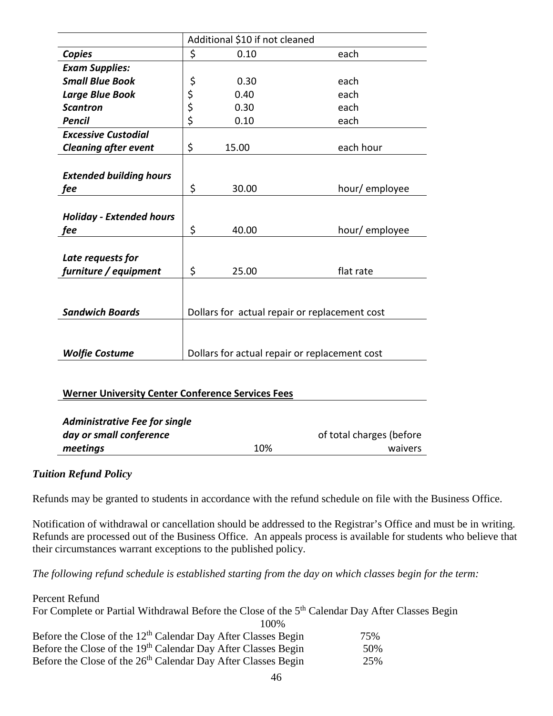|                                                   | Additional \$10 if not cleaned                |       |                                               |
|---------------------------------------------------|-----------------------------------------------|-------|-----------------------------------------------|
| <b>Copies</b>                                     | \$                                            | 0.10  | each                                          |
| <b>Exam Supplies:</b>                             |                                               |       |                                               |
| <b>Small Blue Book</b>                            | \$                                            | 0.30  | each                                          |
| <b>Large Blue Book</b>                            | \$                                            | 0.40  | each                                          |
| <b>Scantron</b>                                   | \$                                            | 0.30  | each                                          |
| <b>Pencil</b>                                     | \$                                            | 0.10  | each                                          |
| <b>Excessive Custodial</b>                        |                                               |       |                                               |
| <b>Cleaning after event</b>                       | \$                                            | 15.00 | each hour                                     |
|                                                   |                                               |       |                                               |
| <b>Extended building hours</b>                    |                                               |       |                                               |
| fee                                               | \$                                            | 30.00 | hour/ employee                                |
|                                                   |                                               |       |                                               |
| <b>Holiday - Extended hours</b>                   |                                               |       |                                               |
| fee                                               | \$                                            | 40.00 | hour/employee                                 |
|                                                   |                                               |       |                                               |
| Late requests for                                 |                                               |       |                                               |
| furniture / equipment                             | \$                                            | 25.00 | flat rate                                     |
|                                                   |                                               |       |                                               |
|                                                   |                                               |       |                                               |
| <b>Sandwich Boards</b>                            |                                               |       | Dollars for actual repair or replacement cost |
|                                                   |                                               |       |                                               |
|                                                   |                                               |       |                                               |
| <b>Wolfie Costume</b>                             | Dollars for actual repair or replacement cost |       |                                               |
|                                                   |                                               |       |                                               |
|                                                   |                                               |       |                                               |
| Warner University Center Conference Services Fees |                                               |       |                                               |

#### **Werner University Center Conference Services Fees**

| <b>Administrative Fee for single</b> |     |                          |
|--------------------------------------|-----|--------------------------|
| day or small conference              |     | of total charges (before |
| meetings                             | 10% | waivers                  |

## *Tuition Refund Policy*

Refunds may be granted to students in accordance with the refund schedule on file with the Business Office.

Notification of withdrawal or cancellation should be addressed to the Registrar's Office and must be in writing. Refunds are processed out of the Business Office. An appeals process is available for students who believe that their circumstances warrant exceptions to the published policy.

*The following refund schedule is established starting from the day on which classes begin for the term:*

| Percent Refund                                                                                              |     |
|-------------------------------------------------------------------------------------------------------------|-----|
| For Complete or Partial Withdrawal Before the Close of the 5 <sup>th</sup> Calendar Day After Classes Begin |     |
| 100%                                                                                                        |     |
| Before the Close of the 12 <sup>th</sup> Calendar Day After Classes Begin                                   | 75% |
| Before the Close of the 19 <sup>th</sup> Calendar Day After Classes Begin                                   | 50% |
| Before the Close of the 26 <sup>th</sup> Calendar Day After Classes Begin                                   | 25% |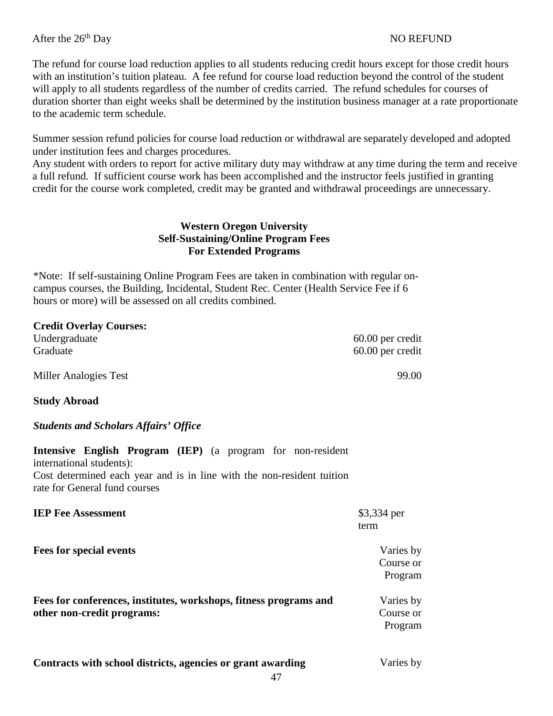The refund for course load reduction applies to all students reducing credit hours except for those credit hours with an institution's tuition plateau. A fee refund for course load reduction beyond the control of the student will apply to all students regardless of the number of credits carried. The refund schedules for courses of duration shorter than eight weeks shall be determined by the institution business manager at a rate proportionate to the academic term schedule.

Summer session refund policies for course load reduction or withdrawal are separately developed and adopted under institution fees and charges procedures.

Any student with orders to report for active military duty may withdraw at any time during the term and receive a full refund. If sufficient course work has been accomplished and the instructor feels justified in granting credit for the course work completed, credit may be granted and withdrawal proceedings are unnecessary.

#### **Western Oregon University Self-Sustaining/Online Program Fees For Extended Programs**

\*Note: If self-sustaining Online Program Fees are taken in combination with regular oncampus courses, the Building, Incidental, Student Rec. Center (Health Service Fee if 6 hours or more) will be assessed on all credits combined.

| <b>Credit Overlay Courses:</b> |                  |
|--------------------------------|------------------|
| Undergraduate                  | 60.00 per credit |
| Graduate                       | 60.00 per credit |
| Miller Analogies Test          | 99.00            |

**Study Abroad**

## *Students and Scholars Affairs' Office*

**Intensive English Program (IEP)** (a program for non-resident international students): Cost determined each year and is in line with the non-resident tuition rate for General fund courses

| <b>IEP Fee Assessment</b> | \$3,334 per |
|---------------------------|-------------|
|                           | term        |

| <b>Fees for special events</b>                                                                  | Varies by<br>Course or<br>Program |
|-------------------------------------------------------------------------------------------------|-----------------------------------|
| Fees for conferences, institutes, workshops, fitness programs and<br>other non-credit programs: | Varies by<br>Course or<br>Program |

| Contracts with school districts, agencies or grant awarding |  |
|-------------------------------------------------------------|--|
|-------------------------------------------------------------|--|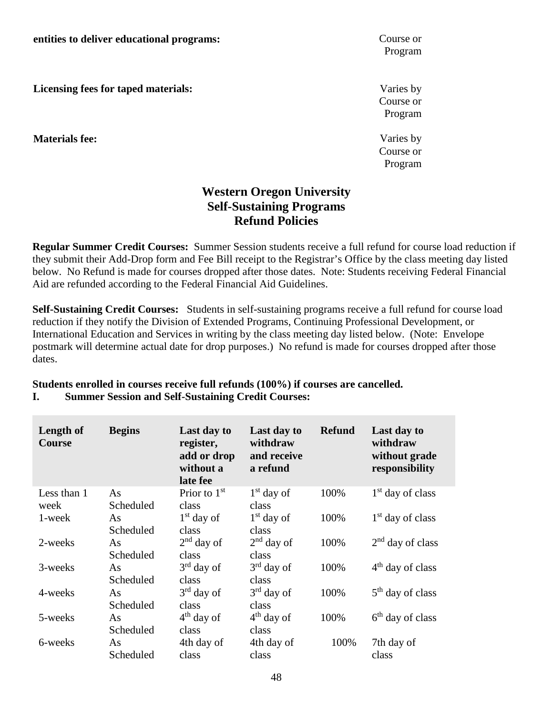**Licensing fees for taped materials:**

**Materials fee:**

Program

Varies by Course or Program

Varies by Course or Program

# **Western Oregon University Self-Sustaining Programs Refund Policies**

**Regular Summer Credit Courses:** Summer Session students receive a full refund for course load reduction if they submit their Add-Drop form and Fee Bill receipt to the Registrar's Office by the class meeting day listed below. No Refund is made for courses dropped after those dates. Note: Students receiving Federal Financial Aid are refunded according to the Federal Financial Aid Guidelines.

**Self-Sustaining Credit Courses:** Students in self-sustaining programs receive a full refund for course load reduction if they notify the Division of Extended Programs, Continuing Professional Development, or International Education and Services in writing by the class meeting day listed below. (Note: Envelope postmark will determine actual date for drop purposes.) No refund is made for courses dropped after those dates.

#### **Students enrolled in courses receive full refunds (100%) if courses are cancelled. I. Summer Session and Self-Sustaining Credit Courses:**

| Length of<br><b>Course</b> | <b>Begins</b> | Last day to<br>register,<br>add or drop<br>without a<br>late fee | Last day to<br>withdraw<br>and receive<br>a refund | <b>Refund</b> | Last day to<br>withdraw<br>without grade<br>responsibility |
|----------------------------|---------------|------------------------------------------------------------------|----------------------------------------------------|---------------|------------------------------------------------------------|
| Less than 1                | As            | Prior to $1st$                                                   | $1st$ day of                                       | 100%          | $1st$ day of class                                         |
| week                       | Scheduled     | class                                                            | class                                              |               |                                                            |
| 1-week                     | As            | $1st$ day of                                                     | $1st$ day of                                       | 100%          | $1st$ day of class                                         |
|                            | Scheduled     | class                                                            | class                                              |               |                                                            |
| 2-weeks                    | As            | $2nd$ day of                                                     | $2nd$ day of                                       | 100%          | $2nd$ day of class                                         |
|                            | Scheduled     | class                                                            | class                                              |               |                                                            |
| 3-weeks                    | As            | $3rd$ day of                                                     | $3rd$ day of                                       | 100%          | $4th$ day of class                                         |
|                            | Scheduled     | class                                                            | class                                              |               |                                                            |
| 4-weeks                    | As            | $3rd$ day of                                                     | $3rd$ day of                                       | 100%          | $5th$ day of class                                         |
|                            | Scheduled     | class                                                            | class                                              |               |                                                            |
| 5-weeks                    | As            | $4th$ day of                                                     | $4th$ day of                                       | 100%          | $6th$ day of class                                         |
|                            | Scheduled     | class                                                            | class                                              |               |                                                            |
| 6-weeks                    | As            | 4th day of                                                       | 4th day of                                         | 100%          | 7th day of                                                 |
|                            | Scheduled     | class                                                            | class                                              |               | class                                                      |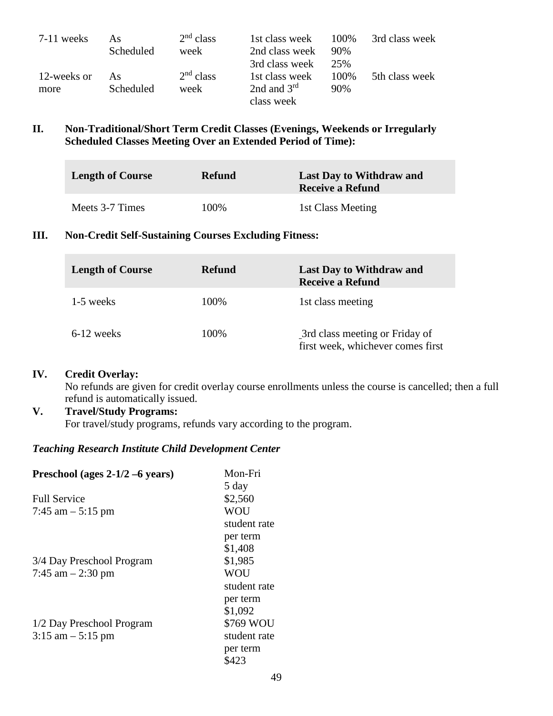| $7-11$ weeks | As        | $2nd$ class | 1st class week | 100%  | 3rd class week |
|--------------|-----------|-------------|----------------|-------|----------------|
|              | Scheduled | week        | 2nd class week | 90%   |                |
|              |           |             | 3rd class week | 25%   |                |
| 12-weeks or  | As        | $2nd$ class | 1st class week | 100\% | 5th class week |
| more         | Scheduled | week        | 2nd and $3rd$  | 90%   |                |
|              |           |             | class week     |       |                |

#### **II. Non-Traditional/Short Term Credit Classes (Evenings, Weekends or Irregularly Scheduled Classes Meeting Over an Extended Period of Time):**

| <b>Length of Course</b> | <b>Refund</b> | <b>Last Day to Withdraw and</b><br><b>Receive a Refund</b> |
|-------------------------|---------------|------------------------------------------------------------|
| Meets 3-7 Times         | 100%          | 1st Class Meeting                                          |

#### **III. Non-Credit Self-Sustaining Courses Excluding Fitness:**

| <b>Length of Course</b> | <b>Refund</b> | <b>Last Day to Withdraw and</b><br><b>Receive a Refund</b>          |
|-------------------------|---------------|---------------------------------------------------------------------|
| 1-5 weeks               | 100%          | 1st class meeting                                                   |
| $6-12$ weeks            | 100%          | 3rd class meeting or Friday of<br>first week, whichever comes first |

#### **IV. Credit Overlay:**

No refunds are given for credit overlay course enrollments unless the course is cancelled; then a full refund is automatically issued.

#### **V. Travel/Study Programs:**

For travel/study programs, refunds vary according to the program.

## *Teaching Research Institute Child Development Center*

| Preschool (ages $2-1/2-6$ years) | Mon-Fri      |
|----------------------------------|--------------|
|                                  | 5 day        |
| <b>Full Service</b>              | \$2,560      |
| 7:45 am $-$ 5:15 pm              | <b>WOU</b>   |
|                                  | student rate |
|                                  | per term     |
|                                  | \$1,408      |
| 3/4 Day Preschool Program        | \$1,985      |
| 7:45 am $-2:30$ pm               | <b>WOU</b>   |
|                                  | student rate |
|                                  | per term     |
|                                  | \$1,092      |
| 1/2 Day Preschool Program        | \$769 WOU    |
| $3:15$ am $-5:15$ pm             | student rate |
|                                  | per term     |
|                                  | \$423        |
|                                  |              |